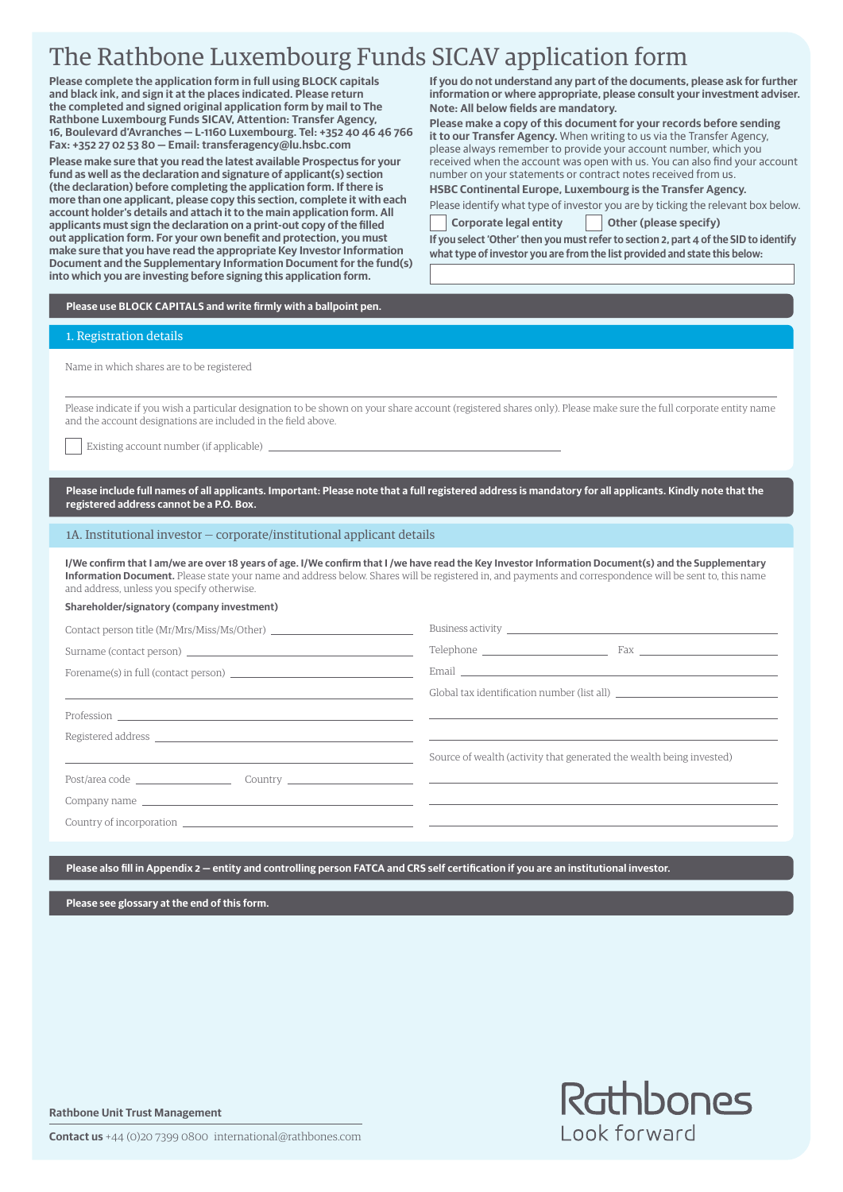# The Rathbone Luxembourg Funds SICAV application form

**Please complete the application form in full using BLOCK capitals and black ink, and sign it at the places indicated. Please return the completed and signed original application form by mail to The Rathbone Luxembourg Funds SICAV, Attention: Transfer Agency, 16, Boulevard d'Avranches — L-1160 Luxembourg. Tel: +352 40 46 46 766 Fax: +352 27 02 53 80 — Email: transferagency@lu.hsbc.com**

**Please make sure that you read the latest available Prospectus for your fund as well as the declaration and signature of applicant(s) section (the declaration) before completing the application form. If there is more than one applicant, please copy this section, complete it with each account holder's details and attach it to the main application form. All applicants must sign the declaration on a print-out copy of the filled out application form. For your own benefit and protection, you must make sure that you have read the appropriate Key Investor Information Document and the Supplementary Information Document for the fund(s) into which you are investing before signing this application form.**

**If you do not understand any part of the documents, please ask for further information or where appropriate, please consult your investment adviser. Note: All below fields are mandatory.**

**Please make a copy of this document for your records before sending it to our Transfer Agency.** When writing to us via the Transfer Agency, please always remember to provide your account number, which you received when the account was open with us. You can also find your account number on your statements or contract notes received from us.

**HSBC Continental Europe, Luxembourg is the Transfer Agency.** Please identify what type of investor you are by ticking the relevant box below.

Corporate legal entity **Collection** Other (please specify)

**If you select 'Other' then you must refer to section 2, part 4 of the SID to identify what type of investor you are from the list provided and state this below:**

**Please use BLOCK CAPITALS and write firmly with a ballpoint pen.**

### 1. Registration details

Name in which shares are to be registered

Please indicate if you wish a particular designation to be shown on your share account (registered shares only). Please make sure the full corporate entity name and the account designations are included in the field above.

Existing account number (if applicable)

**Please include full names of all applicants. Important: Please note that a full registered address is mandatory for all applicants. Kindly note that the registered address cannot be a P.O. Box.**

1A. Institutional investor — corporate/institutional applicant details

**I/We confirm that I am/we are over 18 years of age. I/We confirm that I /we have read the Key Investor Information Document(s) and the Supplementary Information Document.** Please state your name and address below. Shares will be registered in, and payments and correspondence will be sent to, this name and address, unless you specify otherwise.

### **Shareholder/signatory (company investment)**

|                                                                                             | Business activity <u>experience</u> and the second contract of the second contract of the second contract of the second contract of the second contract of the second contract of the second contract of the second contract of the |
|---------------------------------------------------------------------------------------------|-------------------------------------------------------------------------------------------------------------------------------------------------------------------------------------------------------------------------------------|
|                                                                                             |                                                                                                                                                                                                                                     |
|                                                                                             |                                                                                                                                                                                                                                     |
| <u> 1989 - Andrea Andrew Maria (h. 1974).</u>                                               | Global tax identification number (list all) which is a series of the control of the control of the control of                                                                                                                       |
|                                                                                             |                                                                                                                                                                                                                                     |
|                                                                                             |                                                                                                                                                                                                                                     |
|                                                                                             | Source of wealth (activity that generated the wealth being invested)                                                                                                                                                                |
|                                                                                             |                                                                                                                                                                                                                                     |
|                                                                                             |                                                                                                                                                                                                                                     |
| Country of incorporation <u>the country of intervention of the country of incorporation</u> |                                                                                                                                                                                                                                     |

**Please also fill in Appendix 2 — entity and controlling person FATCA and CRS self certification if you are an institutional investor.**

**Please see glossary at the end of this form.**

**Rathbone Unit Trust Management**

Rathbones Look forward

**Contact us** +44 (0)20 7399 0800 international@rathbones.com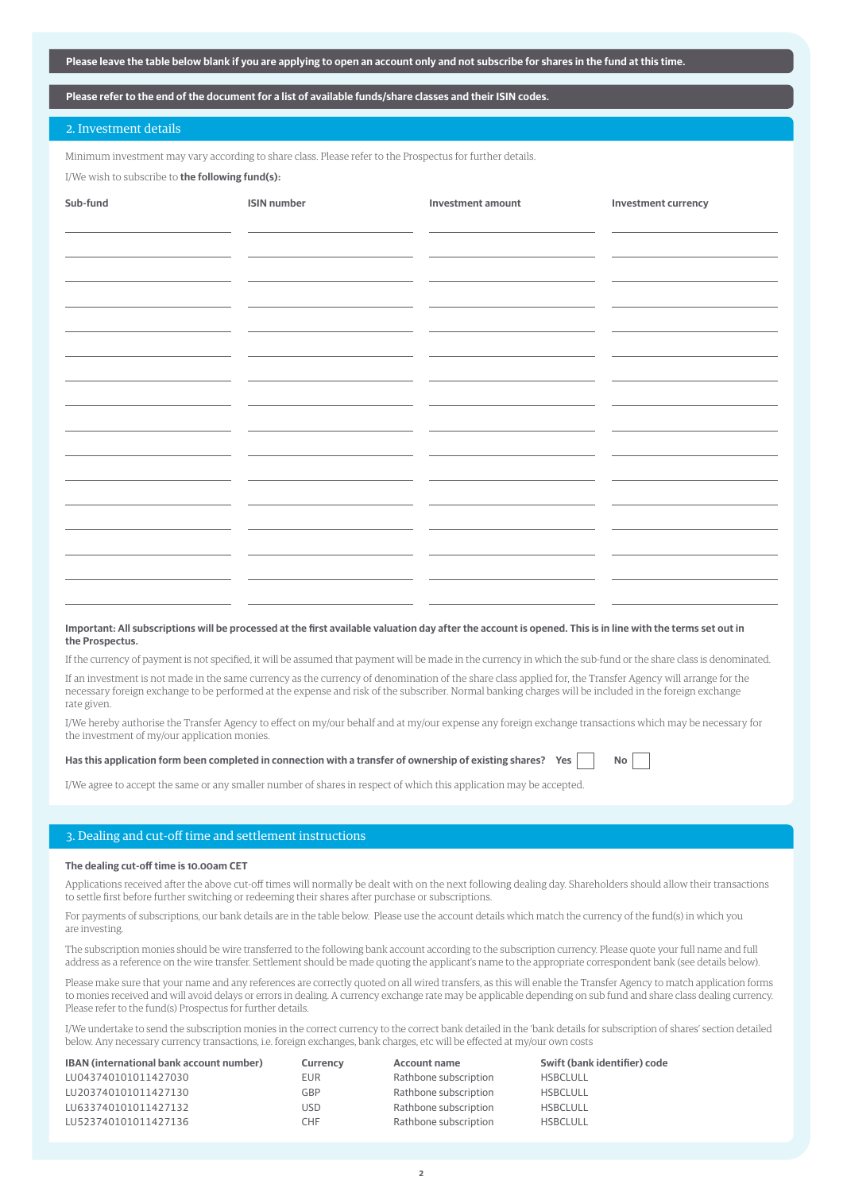| Please leave the table below blank if you are applying to open an account only and not subscribe for shares in the fund at this time. |  |  |
|---------------------------------------------------------------------------------------------------------------------------------------|--|--|
|                                                                                                                                       |  |  |

### **Please refer to the end of the document for a list of available funds/share classes and their ISIN codes.**

### 2. Investment details

Minimum investment may vary according to share class. Please refer to the Prospectus for further details.

I/We wish to subscribe to **the following fund(s):**

| Sub-fund | <b>ISIN</b> number | Investment amount | Investment currency |
|----------|--------------------|-------------------|---------------------|
|          |                    |                   |                     |
|          |                    |                   |                     |
|          |                    |                   |                     |
|          |                    |                   |                     |
|          |                    |                   |                     |
|          |                    |                   |                     |
|          |                    |                   |                     |
|          |                    |                   |                     |
|          |                    |                   |                     |
|          |                    |                   |                     |
|          |                    |                   |                     |
|          |                    |                   |                     |
|          |                    |                   |                     |
|          |                    |                   |                     |
|          |                    |                   |                     |
|          |                    |                   |                     |
|          |                    |                   |                     |
|          |                    |                   |                     |
|          |                    |                   |                     |
|          |                    |                   |                     |
|          |                    |                   |                     |
|          |                    |                   |                     |
|          |                    |                   |                     |
|          |                    |                   |                     |
|          |                    |                   |                     |
| $\sim$   |                    |                   |                     |

### **Important: All subscriptions will be processed at the first available valuation day after the account is opened. This is in line with the terms set out in the Prospectus.**

If the currency of payment is not specified, it will be assumed that payment will be made in the currency in which the sub-fund or the share class is denominated.

If an investment is not made in the same currency as the currency of denomination of the share class applied for, the Transfer Agency will arrange for the necessary foreign exchange to be performed at the expense and risk of the subscriber. Normal banking charges will be included in the foreign exchange rate given.

I/We hereby authorise the Transfer Agency to effect on my/our behalf and at my/our expense any foreign exchange transactions which may be necessary for the investment of my/our application monies.

### Has this application form been completed in connection with a transfer of ownership of existing shares? Yes

I/We agree to accept the same or any smaller number of shares in respect of which this application may be accepted.

### 3. Dealing and cut-off time and settlement instructions

### **The dealing cut-off time is 10.00am CET**

Applications received after the above cut-off times will normally be dealt with on the next following dealing day. Shareholders should allow their transactions to settle first before further switching or redeeming their shares after purchase or subscriptions.

For payments of subscriptions, our bank details are in the table below. Please use the account details which match the currency of the fund(s) in which you are investing.

The subscription monies should be wire transferred to the following bank account according to the subscription currency. Please quote your full name and full address as a reference on the wire transfer. Settlement should be made quoting the applicant's name to the appropriate correspondent bank (see details below).

Please make sure that your name and any references are correctly quoted on all wired transfers, as this will enable the Transfer Agency to match application forms to monies received and will avoid delays or errors in dealing. A currency exchange rate may be applicable depending on sub fund and share class dealing currency. Please refer to the fund(s) Prospectus for further details.

I/We undertake to send the subscription monies in the correct currency to the correct bank detailed in the 'bank details for subscription of shares' section detailed below. Any necessary currency transactions, i.e. foreign exchanges, bank charges, etc will be effected at my/our own costs

| <b>IBAN</b> (international bank account number) | Currency | <b>Account name</b>   | Swift (bank identifier) code |
|-------------------------------------------------|----------|-----------------------|------------------------------|
| LU043740101011427030                            | EUR      | Rathbone subscription | <b>HSBCLULL</b>              |
| LU203740101011427130                            | GBP      | Rathbone subscription | <b>HSBCLULL</b>              |
| LU633740101011427132                            | USD      | Rathbone subscription | <b>HSBCLULL</b>              |
| LU523740101011427136                            | CHF      | Rathbone subscription | <b>HSBCLULL</b>              |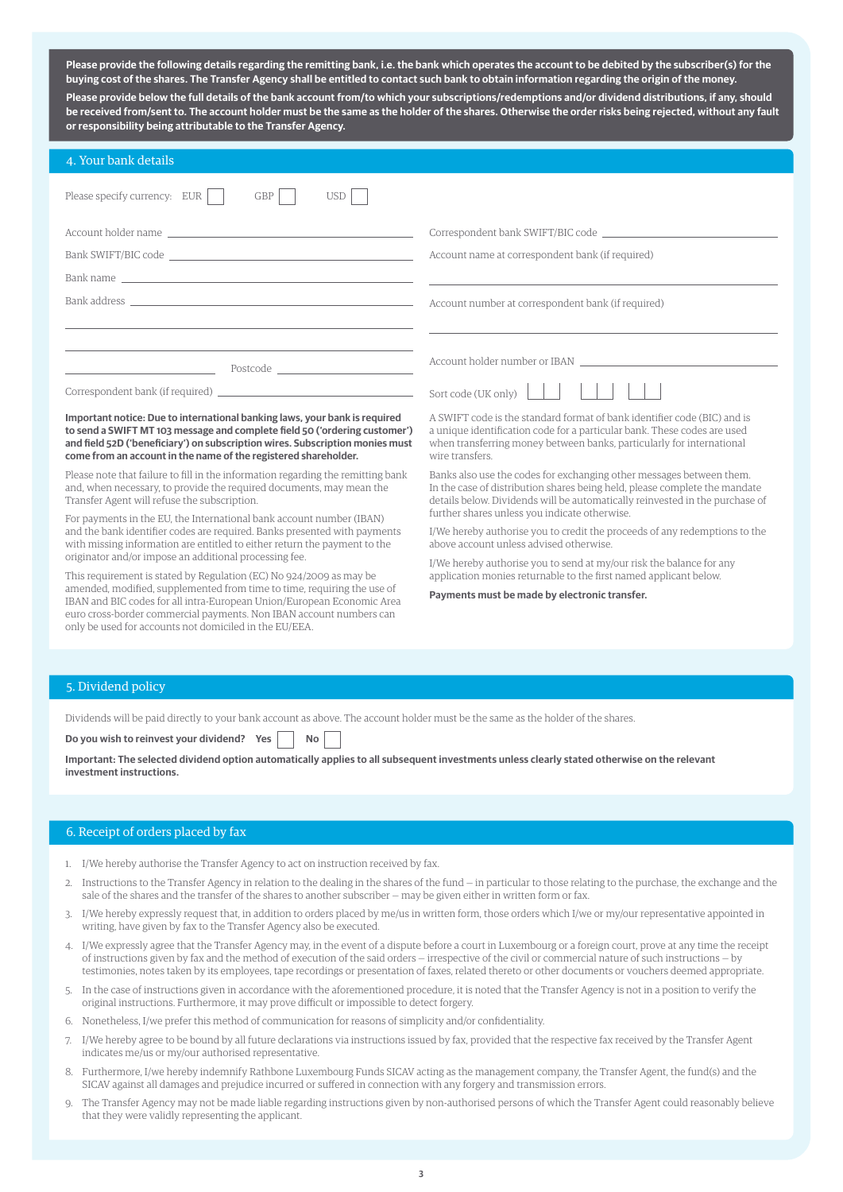**Please provide the following details regarding the remitting bank, i.e. the bank which operates the account to be debited by the subscriber(s) for the buying cost of the shares. The Transfer Agency shall be entitled to contact such bank to obtain information regarding the origin of the money. Please provide below the full details of the bank account from/to which your subscriptions/redemptions and/or dividend distributions, if any, should be received from/sent to. The account holder must be the same as the holder of the shares. Otherwise the order risks being rejected, without any fault or responsibility being attributable to the Transfer Agency.**

| 4. Your bank details                                                                                                                                                                                                                                                                                         |                                                                                                                                                                                                                                                  |
|--------------------------------------------------------------------------------------------------------------------------------------------------------------------------------------------------------------------------------------------------------------------------------------------------------------|--------------------------------------------------------------------------------------------------------------------------------------------------------------------------------------------------------------------------------------------------|
| Please specify currency: EUR<br>GBP<br><b>USD</b>                                                                                                                                                                                                                                                            |                                                                                                                                                                                                                                                  |
| Account holder name                                                                                                                                                                                                                                                                                          |                                                                                                                                                                                                                                                  |
| Bank SWIFT/BIC code                                                                                                                                                                                                                                                                                          | Account name at correspondent bank (if required)                                                                                                                                                                                                 |
| Bank name support that the contract of the contract of the contract of the contract of the contract of the contract of the contract of the contract of the contract of the contract of the contract of the contract of the con                                                                               |                                                                                                                                                                                                                                                  |
| Bank address and the contract of the contract of the contract of the contract of the contract of the contract of the contract of the contract of the contract of the contract of the contract of the contract of the contract                                                                                | Account number at correspondent bank (if required)                                                                                                                                                                                               |
|                                                                                                                                                                                                                                                                                                              |                                                                                                                                                                                                                                                  |
| Postcode and the state of the state of the state of the state of the state of the state of the state of the state of the state of the state of the state of the state of the state of the state of the state of the state of th                                                                              |                                                                                                                                                                                                                                                  |
| Correspondent bank (if required) example and the correspondent bank (if required)                                                                                                                                                                                                                            | Sort code (UK only) $\left  \begin{array}{c} \end{array} \right $                                                                                                                                                                                |
| Important notice: Due to international banking laws, your bank is required<br>to send a SWIFT MT 103 message and complete field 50 ('ordering customer')<br>and field 52D ('beneficiary') on subscription wires. Subscription monies must<br>come from an account in the name of the registered shareholder. | A SWIFT code is the standard format of bank identifier code (BIC) and is<br>a unique identification code for a particular bank. These codes are used<br>when transferring money between banks, particularly for international<br>wire transfers. |
| Please note that failure to fill in the information regarding the remitting bank<br>and, when necessary, to provide the required documents, may mean the<br>Transfer Agent will refuse the subscription.                                                                                                     | Banks also use the codes for exchanging other messages between them.<br>In the case of distribution shares being held, please complete the mandate<br>details below. Dividends will be automatically reinvested in the purchase of               |
| For payments in the EU, the International bank account number (IBAN)<br>and the bank identifier codes are required. Banks presented with payments                                                                                                                                                            | further shares unless you indicate otherwise.<br>I/We hereby authorise you to credit the proceeds of any redemptions to the                                                                                                                      |
| with missing information are entitled to either return the payment to the                                                                                                                                                                                                                                    | above account unless advised otherwise.                                                                                                                                                                                                          |
| originator and/or impose an additional processing fee.<br>This requirement is stated by Regulation (EC) No 924/2009 as may be                                                                                                                                                                                | I/We hereby authorise you to send at my/our risk the balance for any<br>application monies returnable to the first named applicant below.                                                                                                        |
| amended, modified, supplemented from time to time, requiring the use of<br>IBAN and BIC codes for all intra-European Union/European Economic Area                                                                                                                                                            | Payments must be made by electronic transfer.                                                                                                                                                                                                    |

### 5. Dividend policy

Dividends will be paid directly to your bank account as above. The account holder must be the same as the holder of the shares.

**Do you wish to reinvest your dividend? Yes No**

only be used for accounts not domiciled in the EU/EEA.

euro cross-border commercial payments. Non IBAN account numbers can

**Important: The selected dividend option automatically applies to all subsequent investments unless clearly stated otherwise on the relevant investment instructions.**

### 6. Receipt of orders placed by fax

- 1. I/We hereby authorise the Transfer Agency to act on instruction received by fax.
- 2. Instructions to the Transfer Agency in relation to the dealing in the shares of the fund in particular to those relating to the purchase, the exchange and the sale of the shares and the transfer of the shares to another subscriber — may be given either in written form or fax.
- 3. I/We hereby expressly request that, in addition to orders placed by me/us in written form, those orders which I/we or my/our representative appointed in writing, have given by fax to the Transfer Agency also be executed.
- 4. I/We expressly agree that the Transfer Agency may, in the event of a dispute before a court in Luxembourg or a foreign court, prove at any time the receipt of instructions given by fax and the method of execution of the said orders — irrespective of the civil or commercial nature of such instructions — by testimonies, notes taken by its employees, tape recordings or presentation of faxes, related thereto or other documents or vouchers deemed appropriate.
- 5. In the case of instructions given in accordance with the aforementioned procedure, it is noted that the Transfer Agency is not in a position to verify the original instructions. Furthermore, it may prove difficult or impossible to detect forgery.
- 6. Nonetheless, I/we prefer this method of communication for reasons of simplicity and/or confidentiality.
- 7. I/We hereby agree to be bound by all future declarations via instructions issued by fax, provided that the respective fax received by the Transfer Agent indicates me/us or my/our authorised representative.
- 8. Furthermore, I/we hereby indemnify Rathbone Luxembourg Funds SICAV acting as the management company, the Transfer Agent, the fund(s) and the SICAV against all damages and prejudice incurred or suffered in connection with any forgery and transmission errors.
- 9. The Transfer Agency may not be made liable regarding instructions given by non-authorised persons of which the Transfer Agent could reasonably believe that they were validly representing the applicant.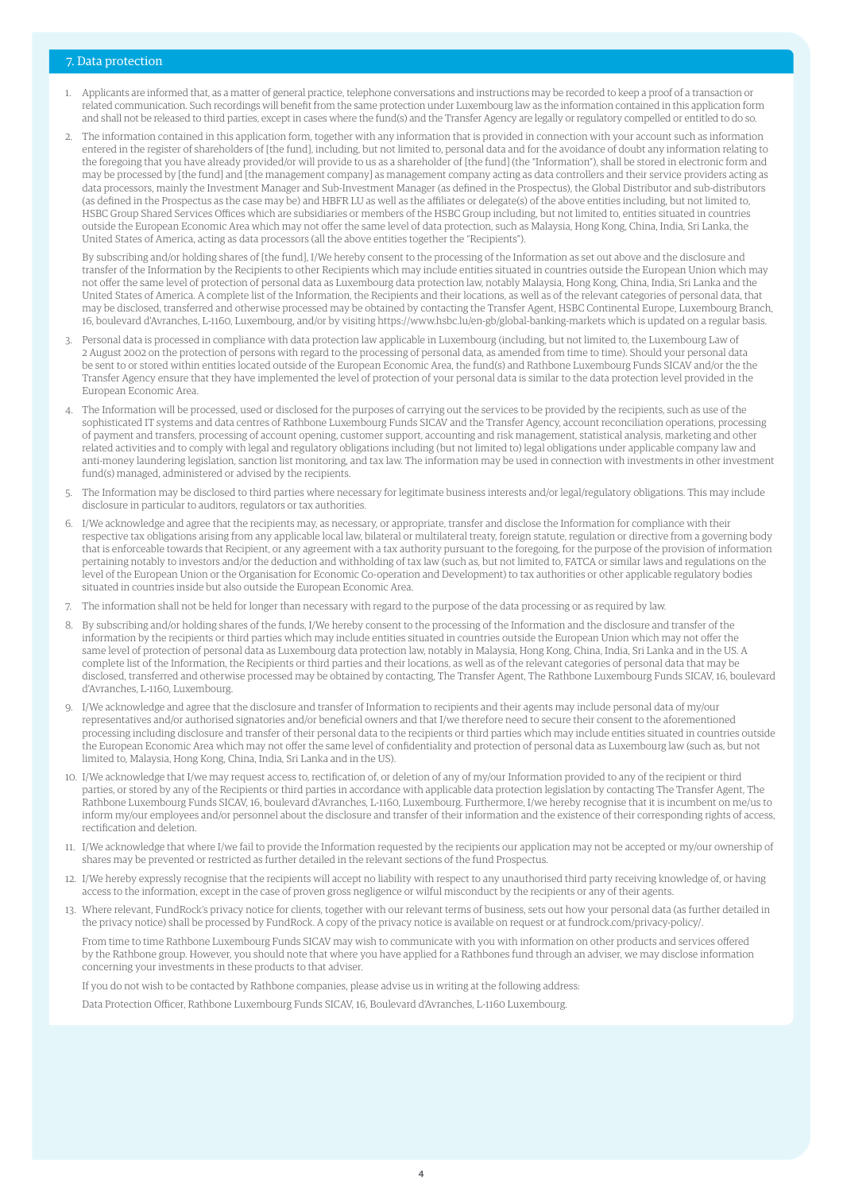### 7. Data protection

- 1. Applicants are informed that, as a matter of general practice, telephone conversations and instructions may be recorded to keep a proof of a transaction or related communication. Such recordings will benefit from the same protection under Luxembourg law as the information contained in this application form and shall not be released to third parties, except in cases where the fund(s) and the Transfer Agency are legally or regulatory compelled or entitled to do so.
- 2. The information contained in this application form, together with any information that is provided in connection with your account such as information entered in the register of shareholders of [the fund], including, but not limited to, personal data and for the avoidance of doubt any information relating to the foregoing that you have already provided/or will provide to us as a shareholder of [the fund] (the "Information"), shall be stored in electronic form and may be processed by [the fund] and [the management company] as management company acting as data controllers and their service providers acting as data processors, mainly the Investment Manager and Sub-Investment Manager (as defined in the Prospectus), the Global Distributor and sub-distributors (as defined in the Prospectus as the case may be) and HBFR LU as well as the affiliates or delegate(s) of the above entities including, but not limited to, HSBC Group Shared Services Offices which are subsidiaries or members of the HSBC Group including, but not limited to, entities situated in countries outside the European Economic Area which may not offer the same level of data protection, such as Malaysia, Hong Kong, China, India, Sri Lanka, the United States of America, acting as data processors (all the above entities together the "Recipients").

 By subscribing and/or holding shares of [the fund], I/We hereby consent to the processing of the Information as set out above and the disclosure and transfer of the Information by the Recipients to other Recipients which may include entities situated in countries outside the European Union which may not offer the same level of protection of personal data as Luxembourg data protection law, notably Malaysia, Hong Kong, China, India, Sri Lanka and the United States of America. A complete list of the Information, the Recipients and their locations, as well as of the relevant categories of personal data, that may be disclosed, transferred and otherwise processed may be obtained by contacting the Transfer Agent, HSBC Continental Europe, Luxembourg Branch, 16, boulevard d'Avranches, L-1160, Luxembourg, and/or by visiting https://www.hsbc.lu/en-gb/global-banking-markets which is updated on a regular basis.

- 3. Personal data is processed in compliance with data protection law applicable in Luxembourg (including, but not limited to, the Luxembourg Law of 2 August 2002 on the protection of persons with regard to the processing of personal data, as amended from time to time). Should your personal data be sent to or stored within entities located outside of the European Economic Area, the fund(s) and Rathbone Luxembourg Funds SICAV and/or the the Transfer Agency ensure that they have implemented the level of protection of your personal data is similar to the data protection level provided in the European Economic Area.
- 4. The Information will be processed, used or disclosed for the purposes of carrying out the services to be provided by the recipients, such as use of the sophisticated IT systems and data centres of Rathbone Luxembourg Funds SICAV and the Transfer Agency, account reconciliation operations, processing of payment and transfers, processing of account opening, customer support, accounting and risk management, statistical analysis, marketing and other related activities and to comply with legal and regulatory obligations including (but not limited to) legal obligations under applicable company law and anti-money laundering legislation, sanction list monitoring, and tax law. The information may be used in connection with investments in other investment fund(s) managed, administered or advised by the recipients.
- The Information may be disclosed to third parties where necessary for legitimate business interests and/or legal/regulatory obligations. This may include disclosure in particular to auditors, regulators or tax authorities.
- 6. I/We acknowledge and agree that the recipients may, as necessary, or appropriate, transfer and disclose the Information for compliance with their respective tax obligations arising from any applicable local law, bilateral or multilateral treaty, foreign statute, regulation or directive from a governing body that is enforceable towards that Recipient, or any agreement with a tax authority pursuant to the foregoing, for the purpose of the provision of information pertaining notably to investors and/or the deduction and withholding of tax law (such as, but not limited to, FATCA or similar laws and regulations on the level of the European Union or the Organisation for Economic Co-operation and Development) to tax authorities or other applicable regulatory bodies situated in countries inside but also outside the European Economic Area.
- 7. The information shall not be held for longer than necessary with regard to the purpose of the data processing or as required by law.
- 8. By subscribing and/or holding shares of the funds, I/We hereby consent to the processing of the Information and the disclosure and transfer of the information by the recipients or third parties which may include entities situated in countries outside the European Union which may not offer the same level of protection of personal data as Luxembourg data protection law, notably in Malaysia, Hong Kong, China, India, Sri Lanka and in the US. A complete list of the Information, the Recipients or third parties and their locations, as well as of the relevant categories of personal data that may be disclosed, transferred and otherwise processed may be obtained by contacting, The Transfer Agent, The Rathbone Luxembourg Funds SICAV, 16, boulevard d'Avranches, L-1160, Luxembourg.
- 9. I/We acknowledge and agree that the disclosure and transfer of Information to recipients and their agents may include personal data of my/our representatives and/or authorised signatories and/or beneficial owners and that I/we therefore need to secure their consent to the aforementioned processing including disclosure and transfer of their personal data to the recipients or third parties which may include entities situated in countries outside the European Economic Area which may not offer the same level of confidentiality and protection of personal data as Luxembourg law (such as, but not limited to, Malaysia, Hong Kong, China, India, Sri Lanka and in the US).
- 10. I/We acknowledge that I/we may request access to, rectification of, or deletion of any of my/our Information provided to any of the recipient or third parties, or stored by any of the Recipients or third parties in accordance with applicable data protection legislation by contacting The Transfer Agent, The Rathbone Luxembourg Funds SICAV, 16, boulevard d'Avranches, L-1160, Luxembourg. Furthermore, I/we hereby recognise that it is incumbent on me/us to inform my/our employees and/or personnel about the disclosure and transfer of their information and the existence of their corresponding rights of access, rectification and deletion.
- 11. I/We acknowledge that where I/we fail to provide the Information requested by the recipients our application may not be accepted or my/our ownership of shares may be prevented or restricted as further detailed in the relevant sections of the fund Prospectus.
- 12. I/We hereby expressly recognise that the recipients will accept no liability with respect to any unauthorised third party receiving knowledge of, or having access to the information, except in the case of proven gross negligence or wilful misconduct by the recipients or any of their agents.
- 13. Where relevant, FundRock's privacy notice for clients, together with our relevant terms of business, sets out how your personal data (as further detailed in the privacy notice) shall be processed by FundRock. A copy of the privacy notice is available on request or at fundrock.com/privacy-policy/.

 From time to time Rathbone Luxembourg Funds SICAV may wish to communicate with you with information on other products and services offered by the Rathbone group. However, you should note that where you have applied for a Rathbones fund through an adviser, we may disclose information concerning your investments in these products to that adviser.

If you do not wish to be contacted by Rathbone companies, please advise us in writing at the following address:

Data Protection Officer, Rathbone Luxembourg Funds SICAV, 16, Boulevard d'Avranches, L-1160 Luxembourg.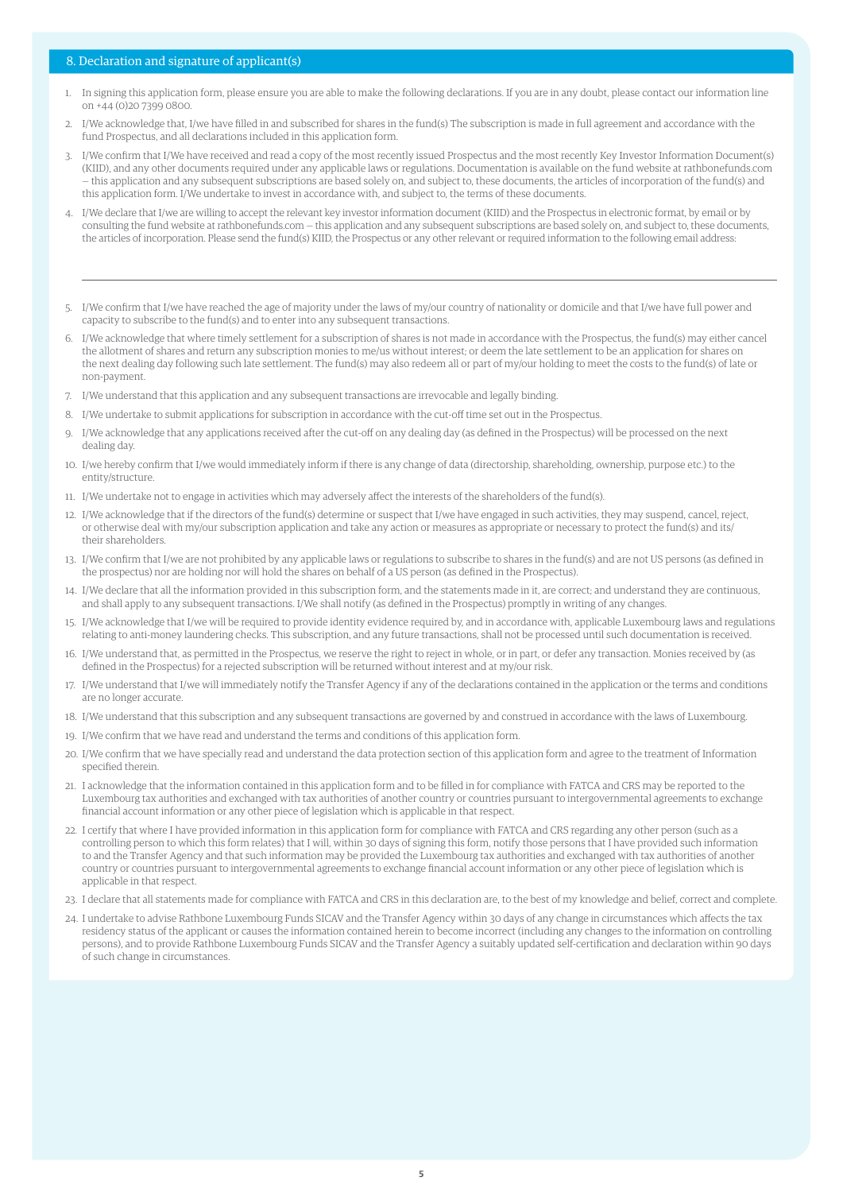### 8. Declaration and signature of applicant(s)

- 1. In signing this application form, please ensure you are able to make the following declarations. If you are in any doubt, please contact our information line on +44 (0)20 7399 0800.
- 2. I/We acknowledge that, I/we have filled in and subscribed for shares in the fund(s) The subscription is made in full agreement and accordance with the fund Prospectus, and all declarations included in this application form.
- 3. I/We confirm that I/We have received and read a copy of the most recently issued Prospectus and the most recently Key Investor Information Document(s) (KIID), and any other documents required under any applicable laws or regulations. Documentation is available on the fund website at rathbonefunds.com — this application and any subsequent subscriptions are based solely on, and subject to, these documents, the articles of incorporation of the fund(s) and this application form. I/We undertake to invest in accordance with, and subject to, the terms of these documents.
- 4. I/We declare that I/we are willing to accept the relevant key investor information document (KIID) and the Prospectus in electronic format, by email or by consulting the fund website at rathbonefunds.com — this application and any subsequent subscriptions are based solely on, and subject to, these documents, the articles of incorporation. Please send the fund(s) KIID, the Prospectus or any other relevant or required information to the following email address:
- 5. I/We confirm that I/we have reached the age of majority under the laws of my/our country of nationality or domicile and that I/we have full power and capacity to subscribe to the fund(s) and to enter into any subsequent transactions.
- 6. I/We acknowledge that where timely settlement for a subscription of shares is not made in accordance with the Prospectus, the fund(s) may either cancel the allotment of shares and return any subscription monies to me/us without interest; or deem the late settlement to be an application for shares on the next dealing day following such late settlement. The fund(s) may also redeem all or part of my/our holding to meet the costs to the fund(s) of late or non-payment.
- 7. I/We understand that this application and any subsequent transactions are irrevocable and legally binding.
- 8. I/We undertake to submit applications for subscription in accordance with the cut-off time set out in the Prospectus.
- 9. I/We acknowledge that any applications received after the cut-off on any dealing day (as defined in the Prospectus) will be processed on the next dealing day.
- 10. I/we hereby confirm that I/we would immediately inform if there is any change of data (directorship, shareholding, ownership, purpose etc.) to the entity/structure.
- 11. I/We undertake not to engage in activities which may adversely affect the interests of the shareholders of the fund(s).
- 12. I/We acknowledge that if the directors of the fund(s) determine or suspect that I/we have engaged in such activities, they may suspend, cancel, reject, or otherwise deal with my/our subscription application and take any action or measures as appropriate or necessary to protect the fund(s) and its/ their shareholders.
- 13. I/We confirm that I/we are not prohibited by any applicable laws or regulations to subscribe to shares in the fund(s) and are not US persons (as defined in the prospectus) nor are holding nor will hold the shares on behalf of a US person (as defined in the Prospectus).
- 14. I/We declare that all the information provided in this subscription form, and the statements made in it, are correct; and understand they are continuous, and shall apply to any subsequent transactions. I/We shall notify (as defined in the Prospectus) promptly in writing of any changes.
- 15. I/We acknowledge that I/we will be required to provide identity evidence required by, and in accordance with, applicable Luxembourg laws and regulations relating to anti-money laundering checks. This subscription, and any future transactions, shall not be processed until such documentation is received.
- 16. I/We understand that, as permitted in the Prospectus, we reserve the right to reject in whole, or in part, or defer any transaction. Monies received by (as defined in the Prospectus) for a rejected subscription will be returned without interest and at my/our risk.
- 17. I/We understand that I/we will immediately notify the Transfer Agency if any of the declarations contained in the application or the terms and conditions are no longer accurate.
- 18. I/We understand that this subscription and any subsequent transactions are governed by and construed in accordance with the laws of Luxembourg.
- 19. I/We confirm that we have read and understand the terms and conditions of this application form.
- 20. I/We confirm that we have specially read and understand the data protection section of this application form and agree to the treatment of Information specified therein.
- 21. I acknowledge that the information contained in this application form and to be filled in for compliance with FATCA and CRS may be reported to the Luxembourg tax authorities and exchanged with tax authorities of another country or countries pursuant to intergovernmental agreements to exchange financial account information or any other piece of legislation which is applicable in that respect.
- 22. I certify that where I have provided information in this application form for compliance with FATCA and CRS regarding any other person (such as a controlling person to which this form relates) that I will, within 30 days of signing this form, notify those persons that I have provided such information to and the Transfer Agency and that such information may be provided the Luxembourg tax authorities and exchanged with tax authorities of another country or countries pursuant to intergovernmental agreements to exchange financial account information or any other piece of legislation which is applicable in that respect.
- 23. I declare that all statements made for compliance with FATCA and CRS in this declaration are, to the best of my knowledge and belief, correct and complete.
- 24. I undertake to advise Rathbone Luxembourg Funds SICAV and the Transfer Agency within 30 days of any change in circumstances which affects the tax residency status of the applicant or causes the information contained herein to become incorrect (including any changes to the information on controlling persons), and to provide Rathbone Luxembourg Funds SICAV and the Transfer Agency a suitably updated self-certification and declaration within 90 days of such change in circumstances.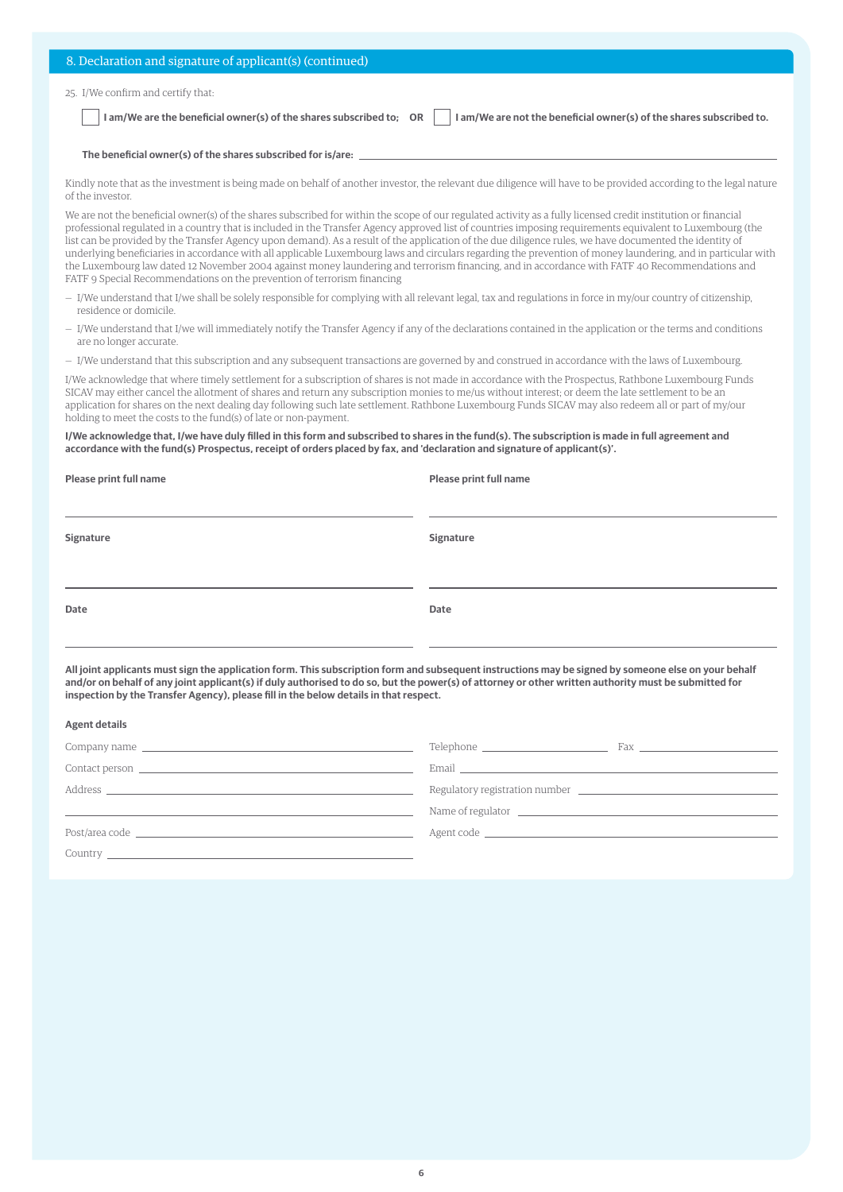| 8. Declaration and signature of applicant(s) (continued)                                                                                                                          |
|-----------------------------------------------------------------------------------------------------------------------------------------------------------------------------------|
| 25. I/We confirm and certify that:<br>I am/We are the beneficial owner(s) of the shares subscribed to; OR<br>I am/We are not the beneficial owner(s) of the shares subscribed to. |
| The beneficial owner(s) of the shares subscribed for is/are:                                                                                                                      |

Kindly note that as the investment is being made on behalf of another investor, the relevant due diligence will have to be provided according to the legal nature of the investor.

We are not the beneficial owner(s) of the shares subscribed for within the scope of our regulated activity as a fully licensed credit institution or financial professional regulated in a country that is included in the Transfer Agency approved list of countries imposing requirements equivalent to Luxembourg (the list can be provided by the Transfer Agency upon demand). As a result of the application of the due diligence rules, we have documented the identity of underlying beneficiaries in accordance with all applicable Luxembourg laws and circulars regarding the prevention of money laundering, and in particular with the Luxembourg law dated 12 November 2004 against money laundering and terrorism financing, and in accordance with FATF 40 Recommendations and FATF 9 Special Recommendations on the prevention of terrorism financing

- I/We understand that I/we shall be solely responsible for complying with all relevant legal, tax and regulations in force in my/our country of citizenship, residence or domicile.
- I/We understand that I/we will immediately notify the Transfer Agency if any of the declarations contained in the application or the terms and conditions are no longer accurate.
- I/We understand that this subscription and any subsequent transactions are governed by and construed in accordance with the laws of Luxembourg.

I/We acknowledge that where timely settlement for a subscription of shares is not made in accordance with the Prospectus, Rathbone Luxembourg Funds SICAV may either cancel the allotment of shares and return any subscription monies to me/us without interest; or deem the late settlement to be an application for shares on the next dealing day following such late settlement. Rathbone Luxembourg Funds SICAV may also redeem all or part of my/our holding to meet the costs to the fund(s) of late or non-payment.

### **I/We acknowledge that, I/we have duly filled in this form and subscribed to shares in the fund(s). The subscription is made in full agreement and accordance with the fund(s) Prospectus, receipt of orders placed by fax, and 'declaration and signature of applicant(s)'.**

| Please print full name | Please print full name |
|------------------------|------------------------|
| Signature              | Signature              |
| Date                   | Date                   |

**All joint applicants must sign the application form. This subscription form and subsequent instructions may be signed by someone else on your behalf and/or on behalf of any joint applicant(s) if duly authorised to do so, but the power(s) of attorney or other written authority must be submitted for inspection by the Transfer Agency), please fill in the below details in that respect.**

| <b>Agent details</b>                                                                                                                                                                                                           |                                                                                                                                                                                                                                                                                                                                                                                                                                                                                                                                                                                                                                                                         |
|--------------------------------------------------------------------------------------------------------------------------------------------------------------------------------------------------------------------------------|-------------------------------------------------------------------------------------------------------------------------------------------------------------------------------------------------------------------------------------------------------------------------------------------------------------------------------------------------------------------------------------------------------------------------------------------------------------------------------------------------------------------------------------------------------------------------------------------------------------------------------------------------------------------------|
| Company name that the company name that the company name of the company name of the company of the company of the company of the company of the company of the company of the company of the company of the company of the com | Telephone ________________________<br>$\text{Fax} \textcolor{red}{\overbrace{\text{max}}}\textcolor{red}{\overbrace{\text{max}}}\textcolor{red}{\overbrace{\text{max}}}\textcolor{red}{\overbrace{\text{max}}}\textcolor{red}{\overbrace{\text{max}}}\textcolor{red}{\overbrace{\text{max}}}\textcolor{red}{\overbrace{\text{max}}}\textcolor{red}{\overbrace{\text{max}}}\textcolor{red}{\overbrace{\text{max}}}\textcolor{red}{\overbrace{\text{max}}}\textcolor{red}{\overbrace{\text{max}}}\textcolor{red}{\overbrace{\text{max}}}\textcolor{red}{\overbrace{\text{max}}}\textcolor{red}{\overbrace{\text{max}}}\textcolor{red}{\overbrace{\text{max}}}\textcolor{$ |
|                                                                                                                                                                                                                                | Email <u>and the community of the community of the community of the community of the community of the community of the community of the community of the community of the community of the community of the community of the com</u>                                                                                                                                                                                                                                                                                                                                                                                                                                    |
| Address and the contract of the contract of the contract of the contract of the contract of the contract of the contract of the contract of the contract of the contract of the contract of the contract of the contract of th | Regulatory registration number <b>example 2014</b> and 2014 and 2014 and 2014 and 2014 and 2014 and 2014 and 2014 and 2014 and 2014 and 2014 and 2014 and 2014 and 2014 and 2014 and 2014 and 2014 and 2014 and 2014 and 2014 and 2                                                                                                                                                                                                                                                                                                                                                                                                                                     |
|                                                                                                                                                                                                                                | Name of regulator <u>example and the set of the set of the set of the set of the set of the set of the set of the set of the set of the set of the set of the set of the set of the set of the set of the set of the set of the </u>                                                                                                                                                                                                                                                                                                                                                                                                                                    |
| Post/area code and the state of the state of the state of the state of the state of the state of the state of the state of the state of the state of the state of the state of the state of the state of the state of the stat |                                                                                                                                                                                                                                                                                                                                                                                                                                                                                                                                                                                                                                                                         |
|                                                                                                                                                                                                                                |                                                                                                                                                                                                                                                                                                                                                                                                                                                                                                                                                                                                                                                                         |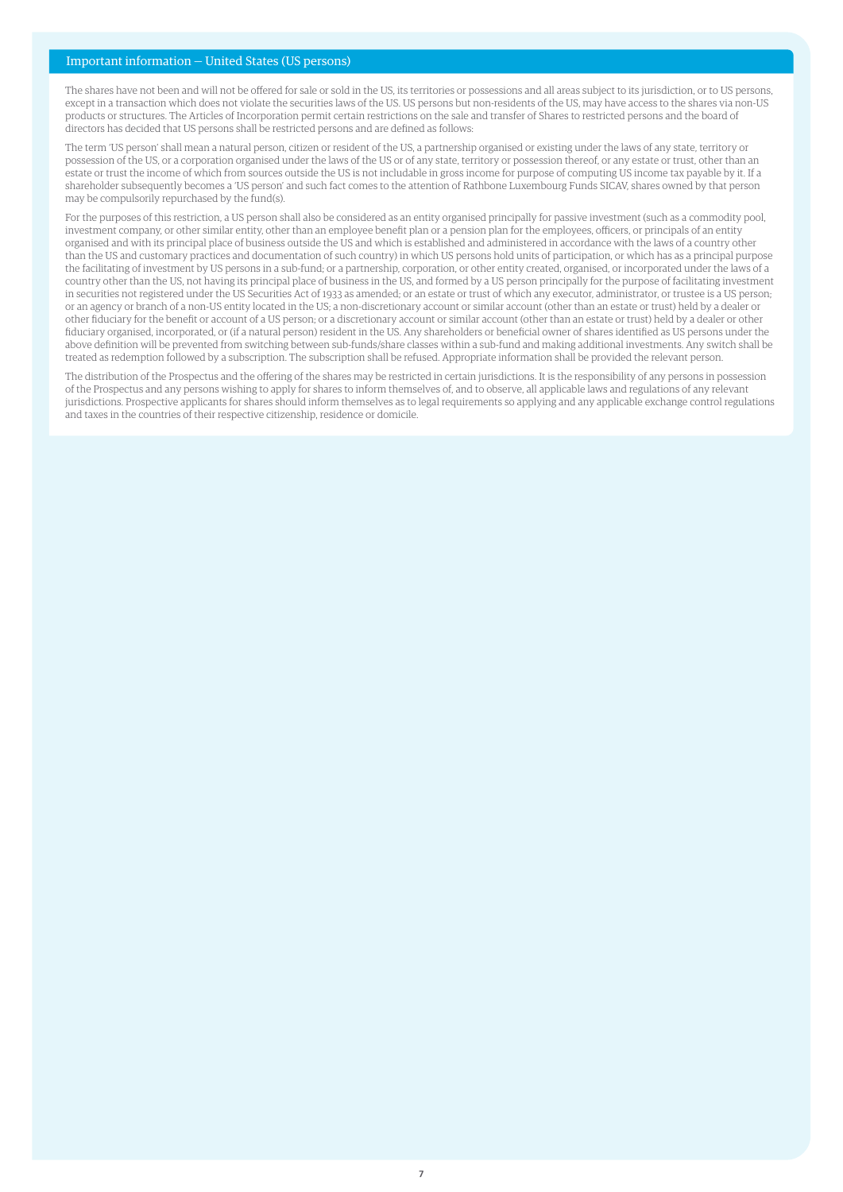### Important information — United States (US persons)

The shares have not been and will not be offered for sale or sold in the US, its territories or possessions and all areas subject to its jurisdiction, or to US persons, except in a transaction which does not violate the securities laws of the US. US persons but non-residents of the US, may have access to the shares via non-US products or structures. The Articles of Incorporation permit certain restrictions on the sale and transfer of Shares to restricted persons and the board of directors has decided that US persons shall be restricted persons and are defined as follows:

The term 'US person' shall mean a natural person, citizen or resident of the US, a partnership organised or existing under the laws of any state, territory or possession of the US, or a corporation organised under the laws of the US or of any state, territory or possession thereof, or any estate or trust, other than an estate or trust the income of which from sources outside the US is not includable in gross income for purpose of computing US income tax payable by it. If a shareholder subsequently becomes a 'US person' and such fact comes to the attention of Rathbone Luxembourg Funds SICAV, shares owned by that person may be compulsorily repurchased by the fund(s).

For the purposes of this restriction, a US person shall also be considered as an entity organised principally for passive investment (such as a commodity pool, investment company, or other similar entity, other than an employee benefit plan or a pension plan for the employees, officers, or principals of an entity organised and with its principal place of business outside the US and which is established and administered in accordance with the laws of a country other than the US and customary practices and documentation of such country) in which US persons hold units of participation, or which has as a principal purpose the facilitating of investment by US persons in a sub-fund; or a partnership, corporation, or other entity created, organised, or incorporated under the laws of a country other than the US, not having its principal place of business in the US, and formed by a US person principally for the purpose of facilitating investment in securities not registered under the US Securities Act of 1933 as amended; or an estate or trust of which any executor, administrator, or trustee is a US person; or an agency or branch of a non-US entity located in the US; a non-discretionary account or similar account (other than an estate or trust) held by a dealer or other fiduciary for the benefit or account of a US person; or a discretionary account or similar account (other than an estate or trust) held by a dealer or other fiduciary organised, incorporated, or (if a natural person) resident in the US. Any shareholders or beneficial owner of shares identified as US persons under the above definition will be prevented from switching between sub-funds/share classes within a sub-fund and making additional investments. Any switch shall be treated as redemption followed by a subscription. The subscription shall be refused. Appropriate information shall be provided the relevant person.

The distribution of the Prospectus and the offering of the shares may be restricted in certain jurisdictions. It is the responsibility of any persons in possession of the Prospectus and any persons wishing to apply for shares to inform themselves of, and to observe, all applicable laws and regulations of any relevant jurisdictions. Prospective applicants for shares should inform themselves as to legal requirements so applying and any applicable exchange control regulations and taxes in the countries of their respective citizenship, residence or domicile.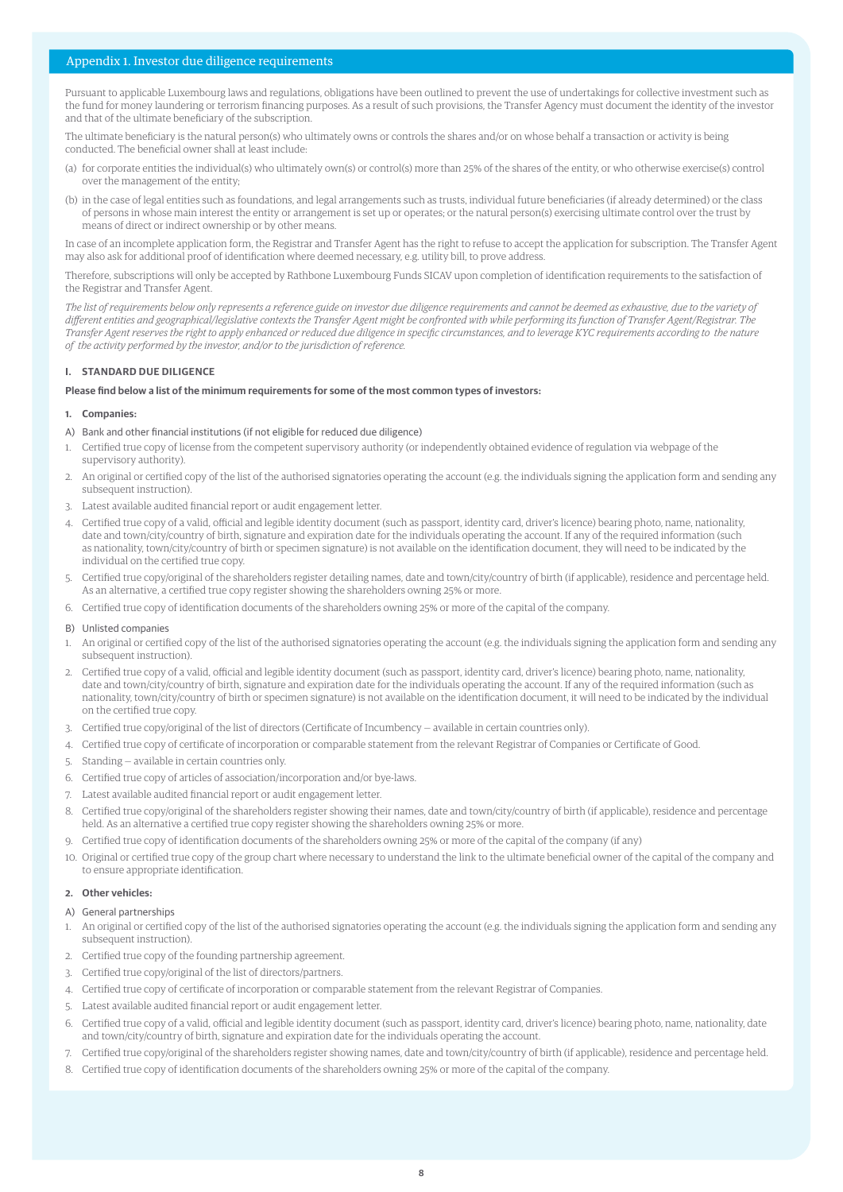### Appendix 1. Investor due diligence requirements

Pursuant to applicable Luxembourg laws and regulations, obligations have been outlined to prevent the use of undertakings for collective investment such as the fund for money laundering or terrorism financing purposes. As a result of such provisions, the Transfer Agency must document the identity of the investor and that of the ultimate beneficiary of the subscription.

The ultimate beneficiary is the natural person(s) who ultimately owns or controls the shares and/or on whose behalf a transaction or activity is being conducted. The beneficial owner shall at least include:

- (a) for corporate entities the individual(s) who ultimately own(s) or control(s) more than 25% of the shares of the entity, or who otherwise exercise(s) control over the management of the entity;
- (b) in the case of legal entities such as foundations, and legal arrangements such as trusts, individual future beneficiaries (if already determined) or the class of persons in whose main interest the entity or arrangement is set up or operates; or the natural person(s) exercising ultimate control over the trust by means of direct or indirect ownership or by other means.

In case of an incomplete application form, the Registrar and Transfer Agent has the right to refuse to accept the application for subscription. The Transfer Agent may also ask for additional proof of identification where deemed necessary, e.g. utility bill, to prove address.

Therefore, subscriptions will only be accepted by Rathbone Luxembourg Funds SICAV upon completion of identification requirements to the satisfaction of the Registrar and Transfer Agent.

*The list of requirements below only represents a reference guide on investor due diligence requirements and cannot be deemed as exhaustive, due to the variety of different entities and geographical/legislative contexts the Transfer Agent might be confronted with while performing its function of Transfer Agent/Registrar. The Transfer Agent reserves the right to apply enhanced or reduced due diligence in specific circumstances, and to leverage KYC requirements according to the nature of the activity performed by the investor, and/or to the jurisdiction of reference.*

### **I. STANDARD DUE DILIGENCE**

### **Please find below a list of the minimum requirements for some of the most common types of investors:**

### **1. Companies:**

- A) Bank and other financial institutions (if not eligible for reduced due diligence)
- 1. Certified true copy of license from the competent supervisory authority (or independently obtained evidence of regulation via webpage of the supervisory authority).
- 2. An original or certified copy of the list of the authorised signatories operating the account (e.g. the individuals signing the application form and sending any subsequent instruction).
- 3. Latest available audited financial report or audit engagement letter.
- 4. Certified true copy of a valid, official and legible identity document (such as passport, identity card, driver's licence) bearing photo, name, nationality, date and town/city/country of birth, signature and expiration date for the individuals operating the account. If any of the required information (such as nationality, town/city/country of birth or specimen signature) is not available on the identification document, they will need to be indicated by the individual on the certified true copy.
- 5. Certified true copy/original of the shareholders register detailing names, date and town/city/country of birth (if applicable), residence and percentage held. As an alternative, a certified true copy register showing the shareholders owning 25% or more.
- 6. Certified true copy of identification documents of the shareholders owning 25% or more of the capital of the company.

### B) Unlisted companies

- 1. An original or certified copy of the list of the authorised signatories operating the account (e.g. the individuals signing the application form and sending any subsequent instruction).
- 2. Certified true copy of a valid, official and legible identity document (such as passport, identity card, driver's licence) bearing photo, name, nationality, date and town/city/country of birth, signature and expiration date for the individuals operating the account. If any of the required information (such as nationality, town/city/country of birth or specimen signature) is not available on the identification document, it will need to be indicated by the individual on the certified true copy.
- 3. Certified true copy/original of the list of directors (Certificate of Incumbency available in certain countries only).
- 4. Certified true copy of certificate of incorporation or comparable statement from the relevant Registrar of Companies or Certificate of Good.
- 5. Standing available in certain countries only.
- 6. Certified true copy of articles of association/incorporation and/or bye-laws.
- 7. Latest available audited financial report or audit engagement letter.
- 8. Certified true copy/original of the shareholders register showing their names, date and town/city/country of birth (if applicable), residence and percentage held. As an alternative a certified true copy register showing the shareholders owning 25% or more.
- 9. Certified true copy of identification documents of the shareholders owning 25% or more of the capital of the company (if any)
- 10. Original or certified true copy of the group chart where necessary to understand the link to the ultimate beneficial owner of the capital of the company and to ensure appropriate identification.

### **2. Other vehicles:**

### A) General partnerships

- 1. An original or certified copy of the list of the authorised signatories operating the account (e.g. the individuals signing the application form and sending any subsequent instruction).
- 2. Certified true copy of the founding partnership agreement.
- 3. Certified true copy/original of the list of directors/partners.
- 4. Certified true copy of certificate of incorporation or comparable statement from the relevant Registrar of Companies.
- 5. Latest available audited financial report or audit engagement letter.
- 6. Certified true copy of a valid, official and legible identity document (such as passport, identity card, driver's licence) bearing photo, name, nationality, date and town/city/country of birth, signature and expiration date for the individuals operating the account.
- 7. Certified true copy/original of the shareholders register showing names, date and town/city/country of birth (if applicable), residence and percentage held.
- 8. Certified true copy of identification documents of the shareholders owning 25% or more of the capital of the company.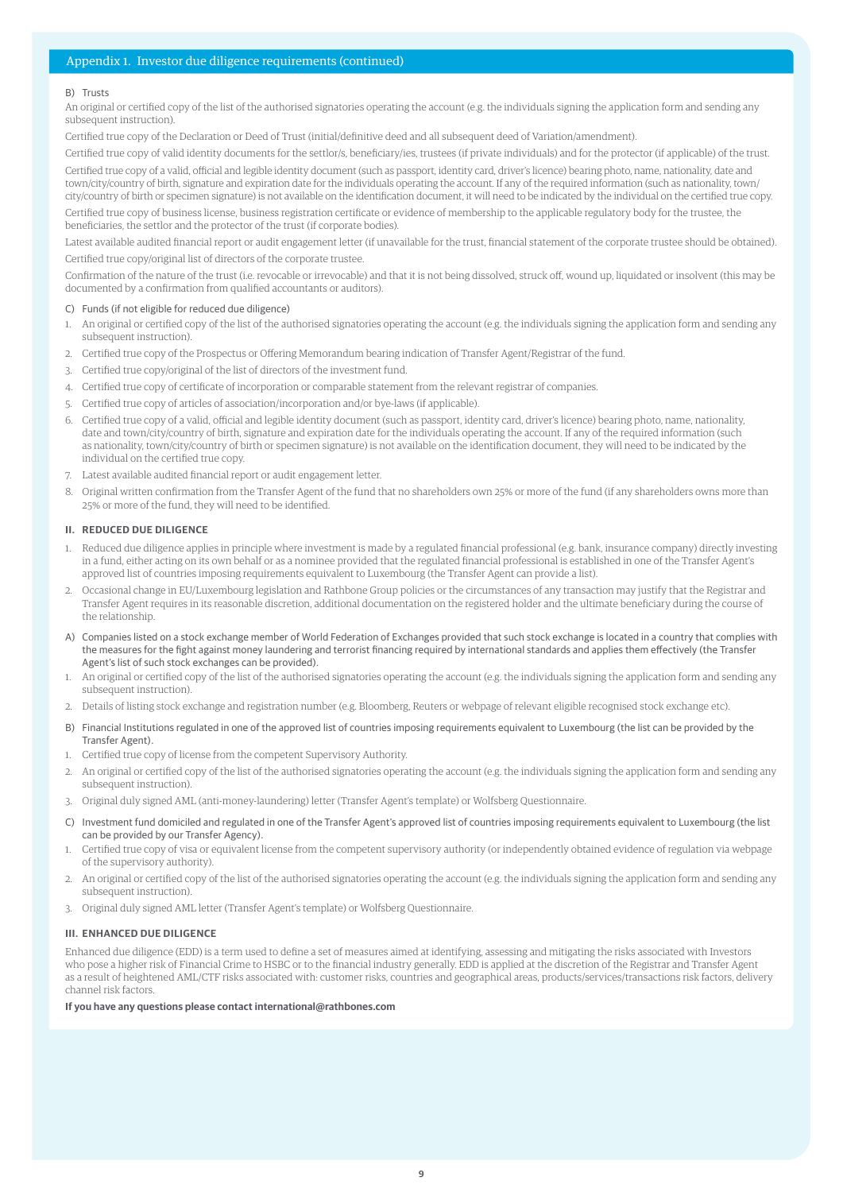### Appendix 1. Investor due diligence requirements (continued)

### B) Trusts

An original or certified copy of the list of the authorised signatories operating the account (e.g. the individuals signing the application form and sending any subsequent instruction).

Certified true copy of the Declaration or Deed of Trust (initial/definitive deed and all subsequent deed of Variation/amendment).

Certified true copy of valid identity documents for the settlor/s, beneficiary/ies, trustees (if private individuals) and for the protector (if applicable) of the trust.

Certified true copy of a valid, official and legible identity document (such as passport, identity card, driver's licence) bearing photo, name, nationality, date and town/city/country of birth, signature and expiration date for the individuals operating the account. If any of the required information (such as nationality, town/ city/country of birth or specimen signature) is not available on the identification document, it will need to be indicated by the individual on the certified true copy.

Certified true copy of business license, business registration certificate or evidence of membership to the applicable regulatory body for the trustee, the beneficiaries, the settlor and the protector of the trust (if corporate bodies).

Latest available audited financial report or audit engagement letter (if unavailable for the trust, financial statement of the corporate trustee should be obtained). Certified true copy/original list of directors of the corporate trustee.

Confirmation of the nature of the trust (i.e. revocable or irrevocable) and that it is not being dissolved, struck off, wound up, liquidated or insolvent (this may be documented by a confirmation from qualified accountants or auditors).

### C) Funds (if not eligible for reduced due diligence)

- 1. An original or certified copy of the list of the authorised signatories operating the account (e.g. the individuals signing the application form and sending any subsequent instruction).
- 2. Certified true copy of the Prospectus or Offering Memorandum bearing indication of Transfer Agent/Registrar of the fund.
- 3. Certified true copy/original of the list of directors of the investment fund.
- 4. Certified true copy of certificate of incorporation or comparable statement from the relevant registrar of companies.
- 5. Certified true copy of articles of association/incorporation and/or bye-laws (if applicable).
- 6. Certified true copy of a valid, official and legible identity document (such as passport, identity card, driver's licence) bearing photo, name, nationality, date and town/city/country of birth, signature and expiration date for the individuals operating the account. If any of the required information (such as nationality, town/city/country of birth or specimen signature) is not available on the identification document, they will need to be indicated by the individual on the certified true copy.
- 7. Latest available audited financial report or audit engagement letter.
- 8. Original written confirmation from the Transfer Agent of the fund that no shareholders own 25% or more of the fund (if any shareholders owns more than 25% or more of the fund, they will need to be identified.

#### **II. REDUCED DUE DILIGENCE**

- 1. Reduced due diligence applies in principle where investment is made by a regulated financial professional (e.g. bank, insurance company) directly investing in a fund, either acting on its own behalf or as a nominee provided that the regulated financial professional is established in one of the Transfer Agent's approved list of countries imposing requirements equivalent to Luxembourg (the Transfer Agent can provide a list).
- 2. Occasional change in EU/Luxembourg legislation and Rathbone Group policies or the circumstances of any transaction may justify that the Registrar and Transfer Agent requires in its reasonable discretion, additional documentation on the registered holder and the ultimate beneficiary during the course of the relationship.
- A) Companies listed on a stock exchange member of World Federation of Exchanges provided that such stock exchange is located in a country that complies with the measures for the fight against money laundering and terrorist financing required by international standards and applies them effectively (the Transfer Agent's list of such stock exchanges can be provided).
- 1. An original or certified copy of the list of the authorised signatories operating the account (e.g. the individuals signing the application form and sending any subsequent instruction).
- 2. Details of listing stock exchange and registration number (e.g. Bloomberg, Reuters or webpage of relevant eligible recognised stock exchange etc).
- B) Financial Institutions regulated in one of the approved list of countries imposing requirements equivalent to Luxembourg (the list can be provided by the Transfer Agent).
- 1. Certified true copy of license from the competent Supervisory Authority.
- 2. An original or certified copy of the list of the authorised signatories operating the account (e.g. the individuals signing the application form and sending any subsequent instruction).
- 3. Original duly signed AML (anti-money-laundering) letter (Transfer Agent's template) or Wolfsberg Questionnaire.
- C) Investment fund domiciled and regulated in one of the Transfer Agent's approved list of countries imposing requirements equivalent to Luxembourg (the list can be provided by our Transfer Agency).
- 1. Certified true copy of visa or equivalent license from the competent supervisory authority (or independently obtained evidence of regulation via webpage of the supervisory authority).
- 2. An original or certified copy of the list of the authorised signatories operating the account (e.g. the individuals signing the application form and sending any subsequent instruction).
- 3. Original duly signed AML letter (Transfer Agent's template) or Wolfsberg Questionnaire.

### **III. ENHANCED DUE DILIGENCE**

Enhanced due diligence (EDD) is a term used to define a set of measures aimed at identifying, assessing and mitigating the risks associated with Investors who pose a higher risk of Financial Crime to HSBC or to the financial industry generally. EDD is applied at the discretion of the Registrar and Transfer Agent as a result of heightened AML/CTF risks associated with: customer risks, countries and geographical areas, products/services/transactions risk factors, delivery channel risk factors.

**If you have any questions please contact international@rathbones.com**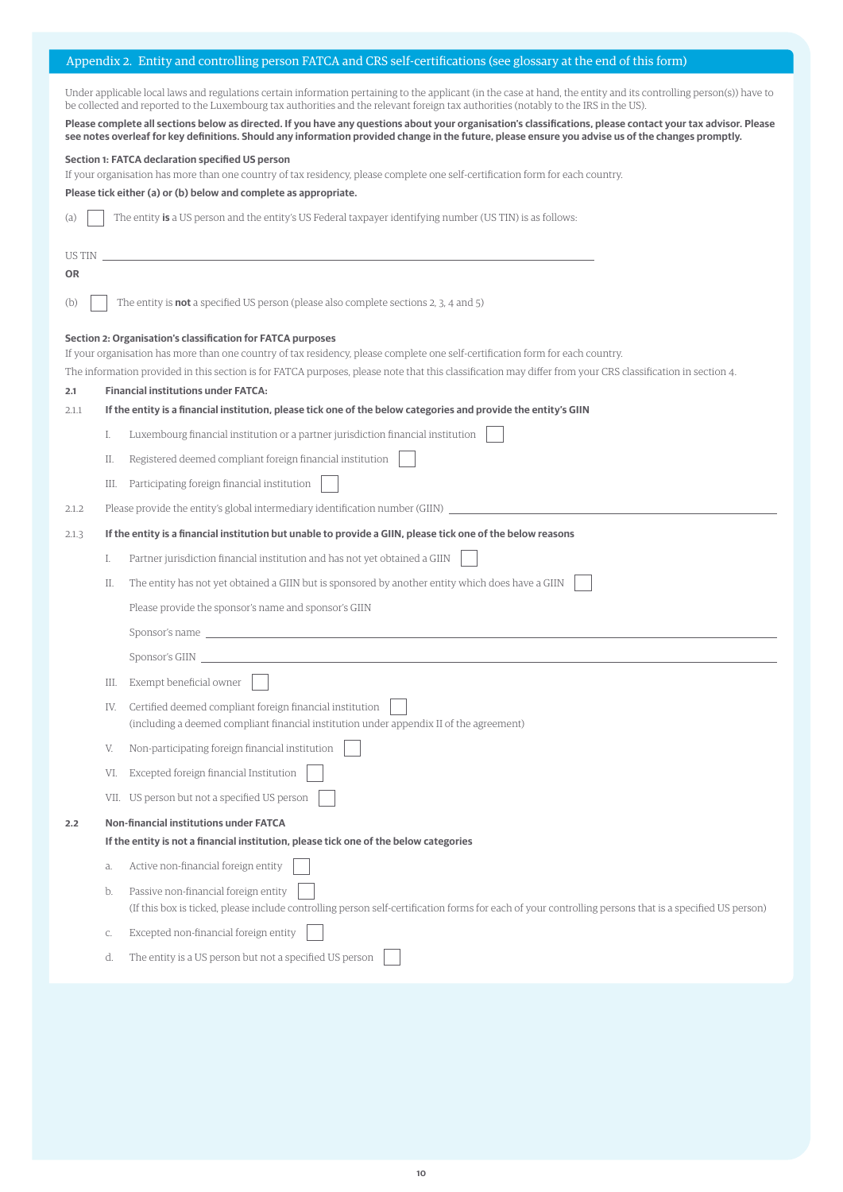## Appendix 2. Entity and controlling person FATCA and CRS self-certifications (see glossary at the end of this form)

Under applicable local laws and regulations certain information pertaining to the applicant (in the case at hand, the entity and its controlling person(s)) have to be collected and reported to the Luxembourg tax authorities and the relevant foreign tax authorities (notably to the IRS in the US).

**Please complete all sections below as directed. If you have any questions about your organisation's classifications, please contact your tax advisor. Please see notes overleaf for key definitions. Should any information provided change in the future, please ensure you advise us of the changes promptly.**

### **Section 1: FATCA declaration specified US person**

If your organisation has more than one country of tax residency, please complete one self-certification form for each country.

**Please tick either (a) or (b) below and complete as appropriate.** 

|  |  |  |  |  | (a) The entity is a US person and the entity's US Federal taxpayer identifying number (US TIN) is as follows: |
|--|--|--|--|--|---------------------------------------------------------------------------------------------------------------|
|--|--|--|--|--|---------------------------------------------------------------------------------------------------------------|

| US TIN |      |                                                                                                                                                                                                                                |
|--------|------|--------------------------------------------------------------------------------------------------------------------------------------------------------------------------------------------------------------------------------|
| OR     |      |                                                                                                                                                                                                                                |
| (b)    |      | The entity is <b>not</b> a specified US person (please also complete sections 2, 3, 4 and 5)                                                                                                                                   |
|        |      | Section 2: Organisation's classification for FATCA purposes<br>If your organisation has more than one country of tax residency, please complete one self-certification form for each country.                                  |
|        |      | The information provided in this section is for FATCA purposes, please note that this classification may differ from your CRS classification in section 4.                                                                     |
| 2.1    |      | <b>Financial institutions under FATCA:</b>                                                                                                                                                                                     |
| 2.1.1  |      | If the entity is a financial institution, please tick one of the below categories and provide the entity's GIIN                                                                                                                |
|        | I.   | Luxembourg financial institution or a partner jurisdiction financial institution                                                                                                                                               |
|        | Π.   | Registered deemed compliant foreign financial institution                                                                                                                                                                      |
|        | Ш.   | Participating foreign financial institution                                                                                                                                                                                    |
| 2.1.2  |      | Please provide the entity's global intermediary identification number (GIIN) _                                                                                                                                                 |
| 2.1.3  |      | If the entity is a financial institution but unable to provide a GIIN, please tick one of the below reasons                                                                                                                    |
|        | I.   | Partner jurisdiction financial institution and has not yet obtained a GIIN                                                                                                                                                     |
|        | П.   | The entity has not yet obtained a GIIN but is sponsored by another entity which does have a GIIN                                                                                                                               |
|        |      | Please provide the sponsor's name and sponsor's GIIN                                                                                                                                                                           |
|        |      | Sponsor's name that the contract of the contract of the contract of the contract of the contract of the contract of the contract of the contract of the contract of the contract of the contract of the contract of the contra |
|        |      | Sponsor's GIIN                                                                                                                                                                                                                 |
|        | Ш.   | Exempt beneficial owner                                                                                                                                                                                                        |
|        | IV.  | Certified deemed compliant foreign financial institution                                                                                                                                                                       |
|        |      | (including a deemed compliant financial institution under appendix II of the agreement)                                                                                                                                        |
|        | V.   | Non-participating foreign financial institution                                                                                                                                                                                |
|        | VI.  | Excepted foreign financial Institution                                                                                                                                                                                         |
|        | VII. | US person but not a specified US person                                                                                                                                                                                        |
| 2.2    |      | <b>Non-financial institutions under FATCA</b>                                                                                                                                                                                  |
|        |      | If the entity is not a financial institution, please tick one of the below categories                                                                                                                                          |
|        | a.   | Active non-financial foreign entity                                                                                                                                                                                            |
|        | b.   | Passive non-financial foreign entity<br>(If this box is ticked, please include controlling person self-certification forms for each of your controlling persons that is a specified US person)                                 |
|        | C.   | Excepted non-financial foreign entity                                                                                                                                                                                          |
|        | d.   | The entity is a US person but not a specified US person                                                                                                                                                                        |
|        |      |                                                                                                                                                                                                                                |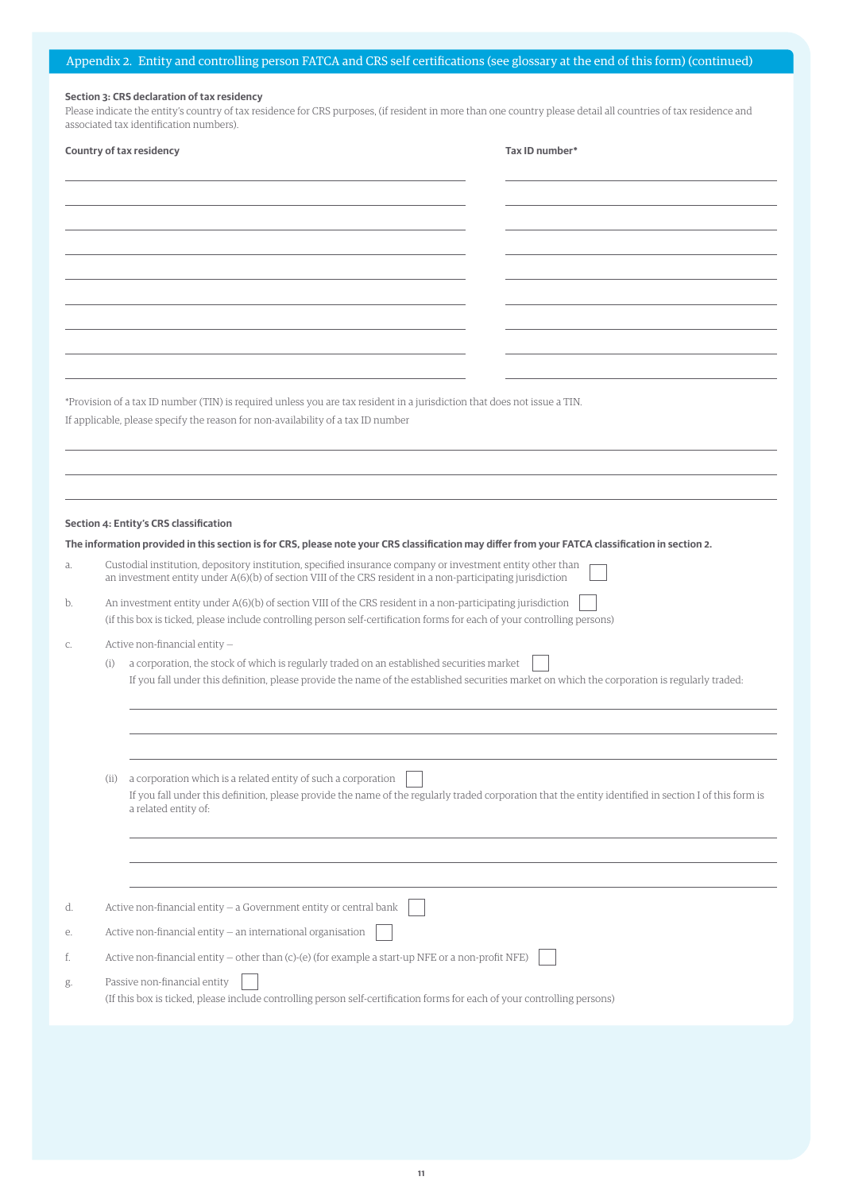## **Section 3: CRS declaration of tax residency**

Please indicate the entity's country of tax residence for CRS purposes, (if resident in more than one country please detail all countries of tax residence and associated tax identification numbers).

|    | Country of tax residency                                                                                                                                                                                                                          | Tax ID number* |
|----|---------------------------------------------------------------------------------------------------------------------------------------------------------------------------------------------------------------------------------------------------|----------------|
|    |                                                                                                                                                                                                                                                   |                |
|    |                                                                                                                                                                                                                                                   |                |
|    |                                                                                                                                                                                                                                                   |                |
|    |                                                                                                                                                                                                                                                   |                |
|    |                                                                                                                                                                                                                                                   |                |
|    |                                                                                                                                                                                                                                                   |                |
|    |                                                                                                                                                                                                                                                   |                |
|    |                                                                                                                                                                                                                                                   |                |
|    |                                                                                                                                                                                                                                                   |                |
|    |                                                                                                                                                                                                                                                   |                |
|    | *Provision of a tax ID number (TIN) is required unless you are tax resident in a jurisdiction that does not issue a TIN.                                                                                                                          |                |
|    | If applicable, please specify the reason for non-availability of a tax ID number                                                                                                                                                                  |                |
|    |                                                                                                                                                                                                                                                   |                |
|    |                                                                                                                                                                                                                                                   |                |
|    |                                                                                                                                                                                                                                                   |                |
|    | Section 4: Entity's CRS classification                                                                                                                                                                                                            |                |
|    | The information provided in this section is for CRS, please note your CRS classification may differ from your FATCA classification in section 2.                                                                                                  |                |
| a. | Custodial institution, depository institution, specified insurance company or investment entity other than<br>an investment entity under A(6)(b) of section VIII of the CRS resident in a non-participating jurisdiction                          |                |
| b. | An investment entity under A(6)(b) of section VIII of the CRS resident in a non-participating jurisdiction                                                                                                                                        |                |
|    | (if this box is ticked, please include controlling person self-certification forms for each of your controlling persons)                                                                                                                          |                |
| С. | Active non-financial entity -                                                                                                                                                                                                                     |                |
|    | a corporation, the stock of which is regularly traded on an established securities market<br>(i)<br>If you fall under this definition, please provide the name of the established securities market on which the corporation is regularly traded: |                |
|    |                                                                                                                                                                                                                                                   |                |
|    |                                                                                                                                                                                                                                                   |                |
|    |                                                                                                                                                                                                                                                   |                |
|    |                                                                                                                                                                                                                                                   |                |
|    | a corporation which is a related entity of such a corporation<br>(i)<br>If you fall under this definition, please provide the name of the regularly traded corporation that the entity identified in section I of this form is                    |                |
|    | a related entity of:                                                                                                                                                                                                                              |                |
|    |                                                                                                                                                                                                                                                   |                |
|    |                                                                                                                                                                                                                                                   |                |
|    |                                                                                                                                                                                                                                                   |                |
| d. | Active non-financial entity - a Government entity or central bank                                                                                                                                                                                 |                |
| е. | Active non-financial entity - an international organisation                                                                                                                                                                                       |                |
| f. | Active non-financial entity – other than (c)-(e) (for example a start-up NFE or a non-profit NFE)                                                                                                                                                 |                |
| g. | Passive non-financial entity                                                                                                                                                                                                                      |                |
|    | (If this box is ticked, please include controlling person self-certification forms for each of your controlling persons)                                                                                                                          |                |
|    |                                                                                                                                                                                                                                                   |                |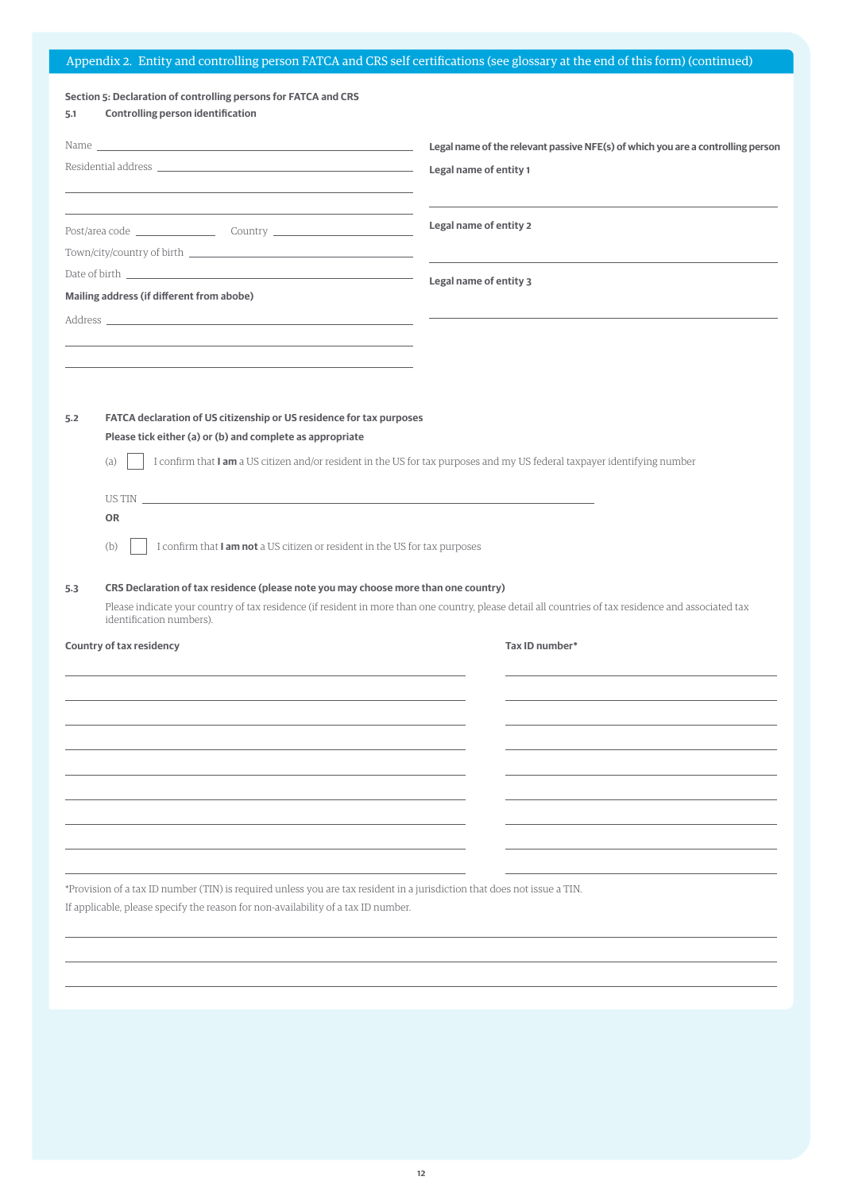# Appendix 2. Entity and controlling person FATCA and CRS self certifications (see glossary at the end of this form) (continued)

# **Section 5: Declaration of controlling persons for FATCA and CRS**

| Controlling person identification | 5.1 |  |  |
|-----------------------------------|-----|--|--|
|-----------------------------------|-----|--|--|

|                                                                                                                                                                                                                                                                                                                                                                                                                                                                 |                                                                                                                                                                                                                               | Legal name of the relevant passive NFE(s) of which you are a controlling person                                                                      |  |  |  |  |  |
|-----------------------------------------------------------------------------------------------------------------------------------------------------------------------------------------------------------------------------------------------------------------------------------------------------------------------------------------------------------------------------------------------------------------------------------------------------------------|-------------------------------------------------------------------------------------------------------------------------------------------------------------------------------------------------------------------------------|------------------------------------------------------------------------------------------------------------------------------------------------------|--|--|--|--|--|
| Residential address and the control of the control of the control of the control of the control of the control of the control of the control of the control of the control of the control of the control of the control of the<br>the control of the control of the control of the control of the control of the control of the control of the control of the control of the control of the control of the control of the control of the control of the control |                                                                                                                                                                                                                               | Legal name of entity 1                                                                                                                               |  |  |  |  |  |
|                                                                                                                                                                                                                                                                                                                                                                                                                                                                 |                                                                                                                                                                                                                               | Legal name of entity 2                                                                                                                               |  |  |  |  |  |
|                                                                                                                                                                                                                                                                                                                                                                                                                                                                 |                                                                                                                                                                                                                               |                                                                                                                                                      |  |  |  |  |  |
|                                                                                                                                                                                                                                                                                                                                                                                                                                                                 |                                                                                                                                                                                                                               |                                                                                                                                                      |  |  |  |  |  |
|                                                                                                                                                                                                                                                                                                                                                                                                                                                                 | Mailing address (if different from abobe)                                                                                                                                                                                     | Legal name of entity 3                                                                                                                               |  |  |  |  |  |
|                                                                                                                                                                                                                                                                                                                                                                                                                                                                 |                                                                                                                                                                                                                               |                                                                                                                                                      |  |  |  |  |  |
|                                                                                                                                                                                                                                                                                                                                                                                                                                                                 |                                                                                                                                                                                                                               |                                                                                                                                                      |  |  |  |  |  |
|                                                                                                                                                                                                                                                                                                                                                                                                                                                                 |                                                                                                                                                                                                                               |                                                                                                                                                      |  |  |  |  |  |
|                                                                                                                                                                                                                                                                                                                                                                                                                                                                 |                                                                                                                                                                                                                               |                                                                                                                                                      |  |  |  |  |  |
| 5.2                                                                                                                                                                                                                                                                                                                                                                                                                                                             |                                                                                                                                                                                                                               |                                                                                                                                                      |  |  |  |  |  |
|                                                                                                                                                                                                                                                                                                                                                                                                                                                                 | FATCA declaration of US citizenship or US residence for tax purposes<br>Please tick either (a) or (b) and complete as appropriate                                                                                             |                                                                                                                                                      |  |  |  |  |  |
|                                                                                                                                                                                                                                                                                                                                                                                                                                                                 | I confirm that I am a US citizen and/or resident in the US for tax purposes and my US federal taxpayer identifying number<br>(a)                                                                                              |                                                                                                                                                      |  |  |  |  |  |
|                                                                                                                                                                                                                                                                                                                                                                                                                                                                 | US TINGER AND THE CONTRACT OF THE CONTRACT OF THE CONTRACT OF THE CONTRACT OF THE CONTRACT OF THE CONTRACT OF THE CONTRACT OF THE CONTRACT OF THE CONTRACT OF THE CONTRACT OF THE CONTRACT OF THE CONTRACT OF THE CONTRACT OF |                                                                                                                                                      |  |  |  |  |  |
|                                                                                                                                                                                                                                                                                                                                                                                                                                                                 | <b>OR</b>                                                                                                                                                                                                                     |                                                                                                                                                      |  |  |  |  |  |
|                                                                                                                                                                                                                                                                                                                                                                                                                                                                 | I confirm that I am not a US citizen or resident in the US for tax purposes<br>(b)                                                                                                                                            |                                                                                                                                                      |  |  |  |  |  |
| 5.3                                                                                                                                                                                                                                                                                                                                                                                                                                                             |                                                                                                                                                                                                                               | CRS Declaration of tax residence (please note you may choose more than one country)                                                                  |  |  |  |  |  |
|                                                                                                                                                                                                                                                                                                                                                                                                                                                                 | identification numbers).                                                                                                                                                                                                      | Please indicate your country of tax residence (if resident in more than one country, please detail all countries of tax residence and associated tax |  |  |  |  |  |
|                                                                                                                                                                                                                                                                                                                                                                                                                                                                 | Country of tax residency                                                                                                                                                                                                      | Tax ID number*                                                                                                                                       |  |  |  |  |  |
|                                                                                                                                                                                                                                                                                                                                                                                                                                                                 |                                                                                                                                                                                                                               |                                                                                                                                                      |  |  |  |  |  |
|                                                                                                                                                                                                                                                                                                                                                                                                                                                                 |                                                                                                                                                                                                                               |                                                                                                                                                      |  |  |  |  |  |
|                                                                                                                                                                                                                                                                                                                                                                                                                                                                 |                                                                                                                                                                                                                               |                                                                                                                                                      |  |  |  |  |  |
|                                                                                                                                                                                                                                                                                                                                                                                                                                                                 |                                                                                                                                                                                                                               |                                                                                                                                                      |  |  |  |  |  |
|                                                                                                                                                                                                                                                                                                                                                                                                                                                                 |                                                                                                                                                                                                                               |                                                                                                                                                      |  |  |  |  |  |
|                                                                                                                                                                                                                                                                                                                                                                                                                                                                 |                                                                                                                                                                                                                               |                                                                                                                                                      |  |  |  |  |  |
|                                                                                                                                                                                                                                                                                                                                                                                                                                                                 |                                                                                                                                                                                                                               |                                                                                                                                                      |  |  |  |  |  |
|                                                                                                                                                                                                                                                                                                                                                                                                                                                                 |                                                                                                                                                                                                                               |                                                                                                                                                      |  |  |  |  |  |
|                                                                                                                                                                                                                                                                                                                                                                                                                                                                 |                                                                                                                                                                                                                               |                                                                                                                                                      |  |  |  |  |  |
|                                                                                                                                                                                                                                                                                                                                                                                                                                                                 |                                                                                                                                                                                                                               |                                                                                                                                                      |  |  |  |  |  |
|                                                                                                                                                                                                                                                                                                                                                                                                                                                                 | *Provision of a tax ID number (TIN) is required unless you are tax resident in a jurisdiction that does not issue a TIN.                                                                                                      |                                                                                                                                                      |  |  |  |  |  |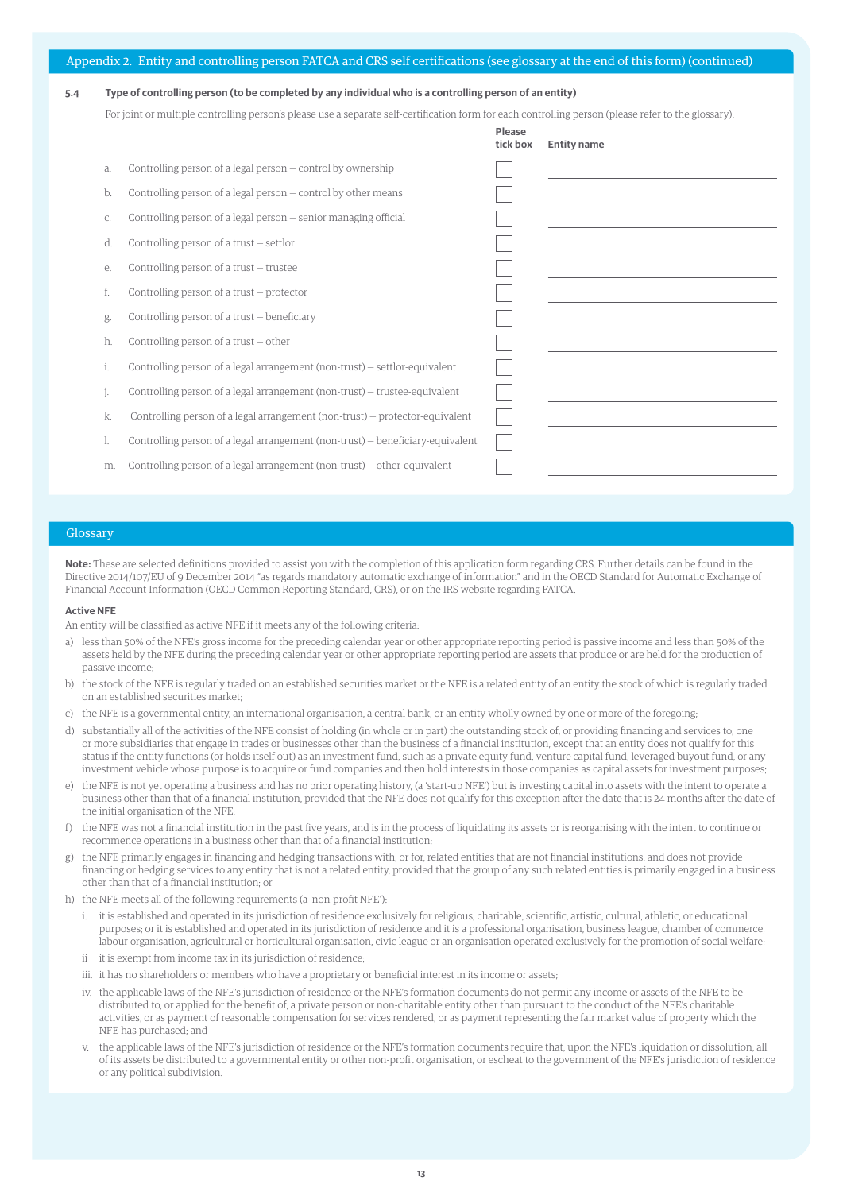|  |  | Appendix 2. Entity and controlling person FATCA and CRS self certifications (see glossary at the end of this form) (continued) |  |  |  |
|--|--|--------------------------------------------------------------------------------------------------------------------------------|--|--|--|
|  |  |                                                                                                                                |  |  |  |

### **5.4 Type of controlling person (to be completed by any individual who is a controlling person of an entity)**

For joint or multiple controlling person's please use a separate self-certification form for each controlling person (please refer to the glossary).

**Please**

|    |                                                                                | tick box | <b>Entity name</b> |
|----|--------------------------------------------------------------------------------|----------|--------------------|
| a. | Controlling person of a legal person – control by ownership                    |          |                    |
| b. | Controlling person of a legal person – control by other means                  |          |                    |
| C. | Controlling person of a legal person – senior managing official                |          |                    |
| d. | Controlling person of a trust – settlor                                        |          |                    |
| е. | Controlling person of a trust – trustee                                        |          |                    |
| f. | Controlling person of a trust – protector                                      |          |                    |
| g. | Controlling person of a trust – beneficiary                                    |          |                    |
| h. | Controlling person of a trust $-$ other                                        |          |                    |
| ĺ. | Controlling person of a legal arrangement (non-trust) – settlor-equivalent     |          |                    |
|    | Controlling person of a legal arrangement (non-trust) – trustee-equivalent     |          |                    |
| k. | Controlling person of a legal arrangement (non-trust) – protector-equivalent   |          |                    |
|    | Controlling person of a legal arrangement (non-trust) – beneficiary-equivalent |          |                    |
| m. | Controlling person of a legal arrangement (non-trust) – other-equivalent       |          |                    |

### Glossary

**Note:** These are selected definitions provided to assist you with the completion of this application form regarding CRS. Further details can be found in the Directive 2014/107/EU of 9 December 2014 "as regards mandatory automatic exchange of information" and in the OECD Standard for Automatic Exchange of Financial Account Information (OECD Common Reporting Standard, CRS), or on the IRS website regarding FATCA.

### **Active NFE**

An entity will be classified as active NFE if it meets any of the following criteria:

- a) less than 50% of the NFE's gross income for the preceding calendar year or other appropriate reporting period is passive income and less than 50% of the assets held by the NFE during the preceding calendar year or other appropriate reporting period are assets that produce or are held for the production of passive income;
- b) the stock of the NFE is regularly traded on an established securities market or the NFE is a related entity of an entity the stock of which is regularly traded on an established securities market;
- c) the NFE is a governmental entity, an international organisation, a central bank, or an entity wholly owned by one or more of the foregoing;
- d) substantially all of the activities of the NFE consist of holding (in whole or in part) the outstanding stock of, or providing financing and services to, one or more subsidiaries that engage in trades or businesses other than the business of a financial institution, except that an entity does not qualify for this status if the entity functions (or holds itself out) as an investment fund, such as a private equity fund, venture capital fund, leveraged buyout fund, or any investment vehicle whose purpose is to acquire or fund companies and then hold interests in those companies as capital assets for investment purposes;
- e) the NFE is not yet operating a business and has no prior operating history, (a 'start-up NFE') but is investing capital into assets with the intent to operate a business other than that of a financial institution, provided that the NFE does not qualify for this exception after the date that is 24 months after the date of the initial organisation of the NFE;
- f) the NFE was not a financial institution in the past five years, and is in the process of liquidating its assets or is reorganising with the intent to continue or recommence operations in a business other than that of a financial institution;
- g) the NFE primarily engages in financing and hedging transactions with, or for, related entities that are not financial institutions, and does not provide financing or hedging services to any entity that is not a related entity, provided that the group of any such related entities is primarily engaged in a business other than that of a financial institution; or
- h) the NFE meets all of the following requirements (a 'non-profit NFE'):
	- i. it is established and operated in its jurisdiction of residence exclusively for religious, charitable, scientific, artistic, cultural, athletic, or educational purposes; or it is established and operated in its jurisdiction of residence and it is a professional organisation, business league, chamber of commerce, labour organisation, agricultural or horticultural organisation, civic league or an organisation operated exclusively for the promotion of social welfare;
	- ii it is exempt from income tax in its jurisdiction of residence;
	- iii. it has no shareholders or members who have a proprietary or beneficial interest in its income or assets;
	- iv. the applicable laws of the NFE's jurisdiction of residence or the NFE's formation documents do not permit any income or assets of the NFE to be distributed to, or applied for the benefit of, a private person or non-charitable entity other than pursuant to the conduct of the NFE's charitable activities, or as payment of reasonable compensation for services rendered, or as payment representing the fair market value of property which the NFE has purchased; and
	- v. the applicable laws of the NFE's jurisdiction of residence or the NFE's formation documents require that, upon the NFE's liquidation or dissolution, all of its assets be distributed to a governmental entity or other non-profit organisation, or escheat to the government of the NFE's jurisdiction of residence or any political subdivision.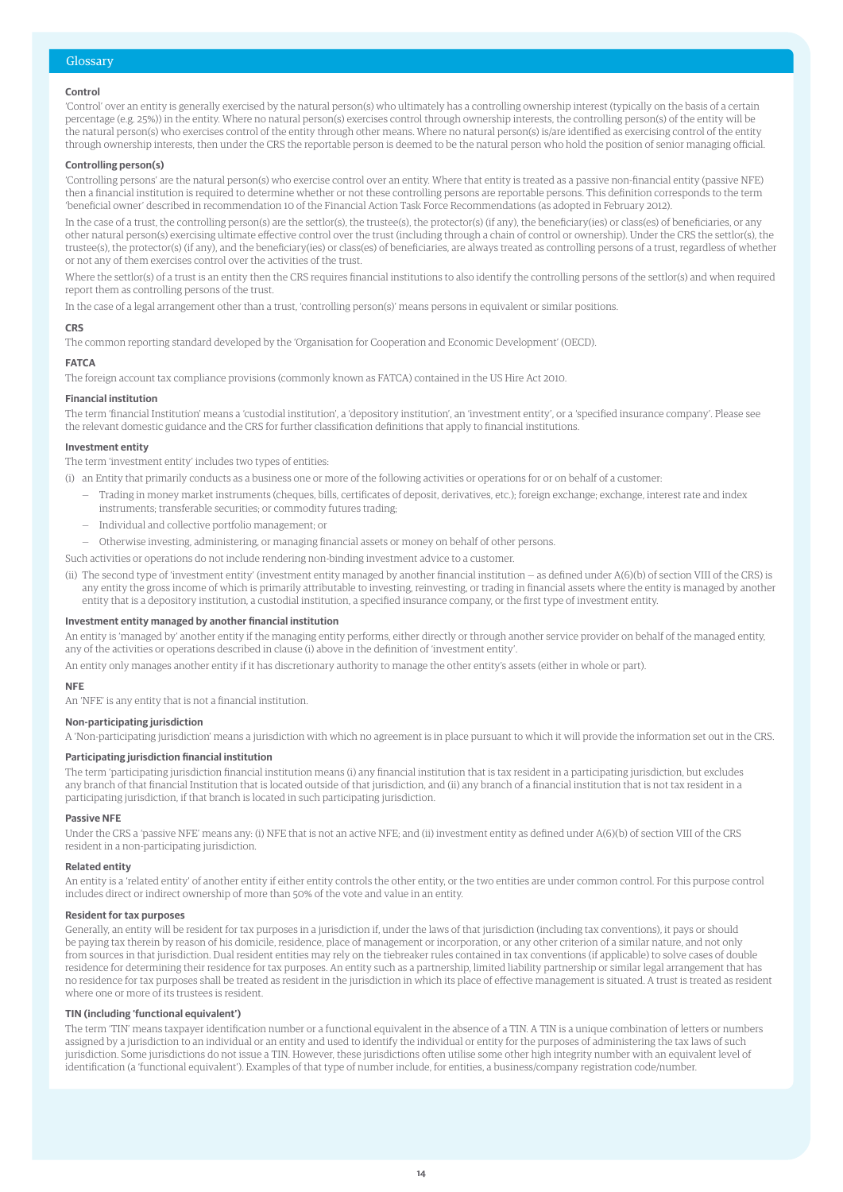### Glossary

### **Control**

'Control' over an entity is generally exercised by the natural person(s) who ultimately has a controlling ownership interest (typically on the basis of a certain percentage (e.g. 25%)) in the entity. Where no natural person(s) exercises control through ownership interests, the controlling person(s) of the entity will be the natural person(s) who exercises control of the entity through other means. Where no natural person(s) is/are identified as exercising control of the entity through ownership interests, then under the CRS the reportable person is deemed to be the natural person who hold the position of senior managing official.

### **Controlling person(s)**

'Controlling persons' are the natural person(s) who exercise control over an entity. Where that entity is treated as a passive non-financial entity (passive NFE) then a financial institution is required to determine whether or not these controlling persons are reportable persons. This definition corresponds to the term 'beneficial owner' described in recommendation 10 of the Financial Action Task Force Recommendations (as adopted in February 2012).

In the case of a trust, the controlling person(s) are the settlor(s), the trustee(s), the protector(s) (if any), the beneficiary(ies) or class(es) of beneficiaries, or any other natural person(s) exercising ultimate effective control over the trust (including through a chain of control or ownership). Under the CRS the settlor(s), the trustee(s), the protector(s) (if any), and the beneficiary(ies) or class(es) of beneficiaries, are always treated as controlling persons of a trust, regardless of whether or not any of them exercises control over the activities of the trust.

Where the settlor(s) of a trust is an entity then the CRS requires financial institutions to also identify the controlling persons of the settlor(s) and when required report them as controlling persons of the trust.

In the case of a legal arrangement other than a trust, 'controlling person(s)' means persons in equivalent or similar positions.

### **CRS**

The common reporting standard developed by the 'Organisation for Cooperation and Economic Development' (OECD).

### **FATCA**

The foreign account tax compliance provisions (commonly known as FATCA) contained in the US Hire Act 2010.

### **Financial institution**

The term 'financial Institution' means a 'custodial institution', a 'depository institution', an 'investment entity', or a 'specified insurance company'. Please see the relevant domestic guidance and the CRS for further classification definitions that apply to financial institutions.

### **Investment entity**

The term 'investment entity' includes two types of entities:

- (i) an Entity that primarily conducts as a business one or more of the following activities or operations for or on behalf of a customer:
	- Trading in money market instruments (cheques, bills, certificates of deposit, derivatives, etc.); foreign exchange; exchange, interest rate and index instruments; transferable securities; or commodity futures trading;
	- Individual and collective portfolio management; or
	- Otherwise investing, administering, or managing financial assets or money on behalf of other persons.

Such activities or operations do not include rendering non-binding investment advice to a customer.

(ii) The second type of 'investment entity' (investment entity managed by another financial institution — as defined under A(6)(b) of section VIII of the CRS) is any entity the gross income of which is primarily attributable to investing, reinvesting, or trading in financial assets where the entity is managed by another entity that is a depository institution, a custodial institution, a specified insurance company, or the first type of investment entity.

### **Investment entity managed by another financial institution**

An entity is 'managed by' another entity if the managing entity performs, either directly or through another service provider on behalf of the managed entity, any of the activities or operations described in clause (i) above in the definition of 'investment entity'.

An entity only manages another entity if it has discretionary authority to manage the other entity's assets (either in whole or part).

### **NFE**

An 'NFE' is any entity that is not a financial institution.

### **Non-participating jurisdiction**

A 'Non-participating jurisdiction' means a jurisdiction with which no agreement is in place pursuant to which it will provide the information set out in the CRS.

### **Participating jurisdiction financial institution**

The term 'participating jurisdiction financial institution means (i) any financial institution that is tax resident in a participating jurisdiction, but excludes any branch of that financial Institution that is located outside of that jurisdiction, and (ii) any branch of a financial institution that is not tax resident in a participating jurisdiction, if that branch is located in such participating jurisdiction.

### **Passive NFE**

Under the CRS a 'passive NFE' means any: (i) NFE that is not an active NFE; and (ii) investment entity as defined under A(6)(b) of section VIII of the CRS resident in a non-participating jurisdiction.

#### **Related entity**

An entity is a 'related entity' of another entity if either entity controls the other entity, or the two entities are under common control. For this purpose control includes direct or indirect ownership of more than 50% of the vote and value in an entity.

#### **Resident for tax purposes**

Generally, an entity will be resident for tax purposes in a jurisdiction if, under the laws of that jurisdiction (including tax conventions), it pays or should be paying tax therein by reason of his domicile, residence, place of management or incorporation, or any other criterion of a similar nature, and not only from sources in that jurisdiction. Dual resident entities may rely on the tiebreaker rules contained in tax conventions (if applicable) to solve cases of double residence for determining their residence for tax purposes. An entity such as a partnership, limited liability partnership or similar legal arrangement that has no residence for tax purposes shall be treated as resident in the jurisdiction in which its place of effective management is situated. A trust is treated as resident where one or more of its trustees is resident.

### **TIN (including 'functional equivalent')**

The term 'TIN' means taxpayer identification number or a functional equivalent in the absence of a TIN. A TIN is a unique combination of letters or numbers assigned by a jurisdiction to an individual or an entity and used to identify the individual or entity for the purposes of administering the tax laws of such jurisdiction. Some jurisdictions do not issue a TIN. However, these jurisdictions often utilise some other high integrity number with an equivalent level of identification (a 'functional equivalent'). Examples of that type of number include, for entities, a business/company registration code/number.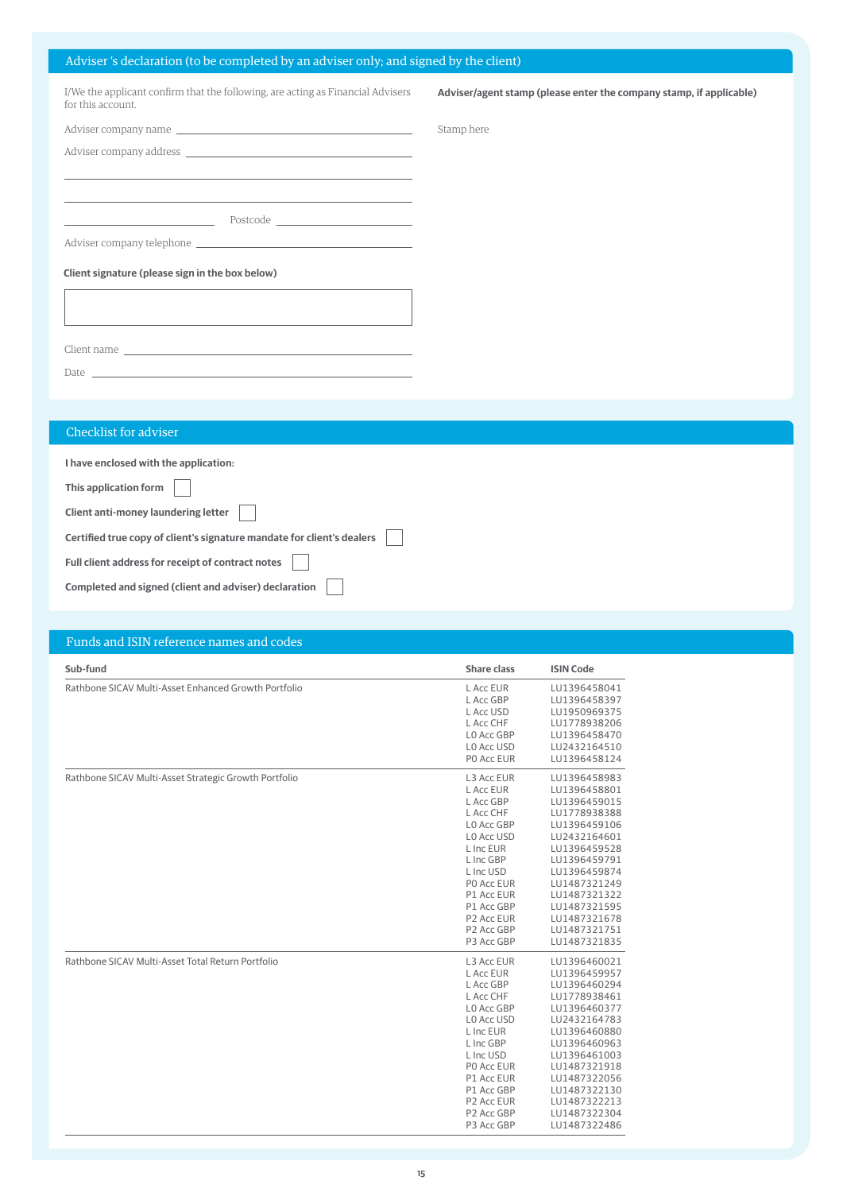# Adviser 's declaration (to be completed by an adviser only; and signed by the client)

| I/We the applicant confirm that the following, are acting as Financial Advisers<br>for this account.                                                                                                                          | Adviser/agent stamp (please enter the company stamp, if applicable) |
|-------------------------------------------------------------------------------------------------------------------------------------------------------------------------------------------------------------------------------|---------------------------------------------------------------------|
|                                                                                                                                                                                                                               | Stamp here                                                          |
|                                                                                                                                                                                                                               |                                                                     |
| <u> 1989 - Andrea Santa Andrea Andrea Andrea Andrea Andrea Andrea Andrea Andrea Andrea Andrea Andrea Andrea Andr</u>                                                                                                          |                                                                     |
| <u> 1989 - Johann Stoff, amerikansk politiker (* 1908)</u>                                                                                                                                                                    |                                                                     |
|                                                                                                                                                                                                                               |                                                                     |
|                                                                                                                                                                                                                               |                                                                     |
| Client signature (please sign in the box below)                                                                                                                                                                               |                                                                     |
|                                                                                                                                                                                                                               |                                                                     |
| the control of the control of the control of the control of the control of the control of the control of the control of the control of the control of the control of the control of the control of the control of the control |                                                                     |
|                                                                                                                                                                                                                               |                                                                     |
|                                                                                                                                                                                                                               |                                                                     |
|                                                                                                                                                                                                                               |                                                                     |
|                                                                                                                                                                                                                               |                                                                     |
| Checklist for adviser                                                                                                                                                                                                         |                                                                     |
| - Contractor Advised Article Advised Article Article Article Article Article Article Article Article Article Article                                                                                                          |                                                                     |

٦

**I have enclosed with the application:**

**This application form**

**Client anti-money laundering letter**

**Certified true copy of client's signature mandate for client's dealers**

×

 $\overline{\phantom{0}}$ 

**Full client address for receipt of contract notes**

|  | Completed and signed (client and adviser) declaration |
|--|-------------------------------------------------------|
|  |                                                       |

# Funds and ISIN reference names and codes

| Sub-fund                                              | <b>Share class</b>                                                                                                                                                                                                               | <b>ISIN Code</b>                                                                                                                                                                                                                             |
|-------------------------------------------------------|----------------------------------------------------------------------------------------------------------------------------------------------------------------------------------------------------------------------------------|----------------------------------------------------------------------------------------------------------------------------------------------------------------------------------------------------------------------------------------------|
| Rathbone SICAV Multi-Asset Enhanced Growth Portfolio  | L Acc EUR<br>L Acc GBP<br>L Acc USD<br>L Acc CHF<br>LO Acc GBP<br>LO Acc USD<br>PO Acc EUR                                                                                                                                       | LU1396458041<br>LU1396458397<br>LU1950969375<br>LU1778938206<br>LU1396458470<br>LU2432164510<br>LU1396458124                                                                                                                                 |
| Rathbone SICAV Multi-Asset Strategic Growth Portfolio | L3 Acc EUR<br>L Acc EUR<br>L Acc GBP<br>L Acc CHF<br>LO Acc GBP<br>LO Acc USD<br>L Inc EUR<br>L Inc GBP<br>L Inc USD<br>PO Acc EUR<br>P1 Acc EUR<br>P1 Acc GBP<br>P <sub>2</sub> Acc EUR<br>P <sub>2</sub> Acc GBP<br>P3 Acc GBP | LU1396458983<br>LU1396458801<br>LU1396459015<br>LU1778938388<br>LU1396459106<br>LU2432164601<br>LU1396459528<br>LU1396459791<br>LU1396459874<br>LU1487321249<br>LU1487321322<br>LU1487321595<br>LU1487321678<br>LU1487321751<br>LU1487321835 |
| Rathbone SICAV Multi-Asset Total Return Portfolio     | L3 Acc EUR<br>L Acc EUR<br>L Acc GBP<br>L Acc CHF<br>LO Acc GBP<br>LO Acc USD<br>L Inc EUR<br>L Inc GBP<br>L Inc USD<br>PO Acc EUR<br>P1 Acc EUR<br>P1 Acc GBP<br>P <sub>2</sub> Acc EUR<br>P <sub>2</sub> Acc GBP<br>P3 Acc GBP | LU1396460021<br>LU1396459957<br>LU1396460294<br>LU1778938461<br>LU1396460377<br>LU2432164783<br>LU1396460880<br>LU1396460963<br>LU1396461003<br>LU1487321918<br>LU1487322056<br>LU1487322130<br>LU1487322213<br>LU1487322304<br>LU1487322486 |